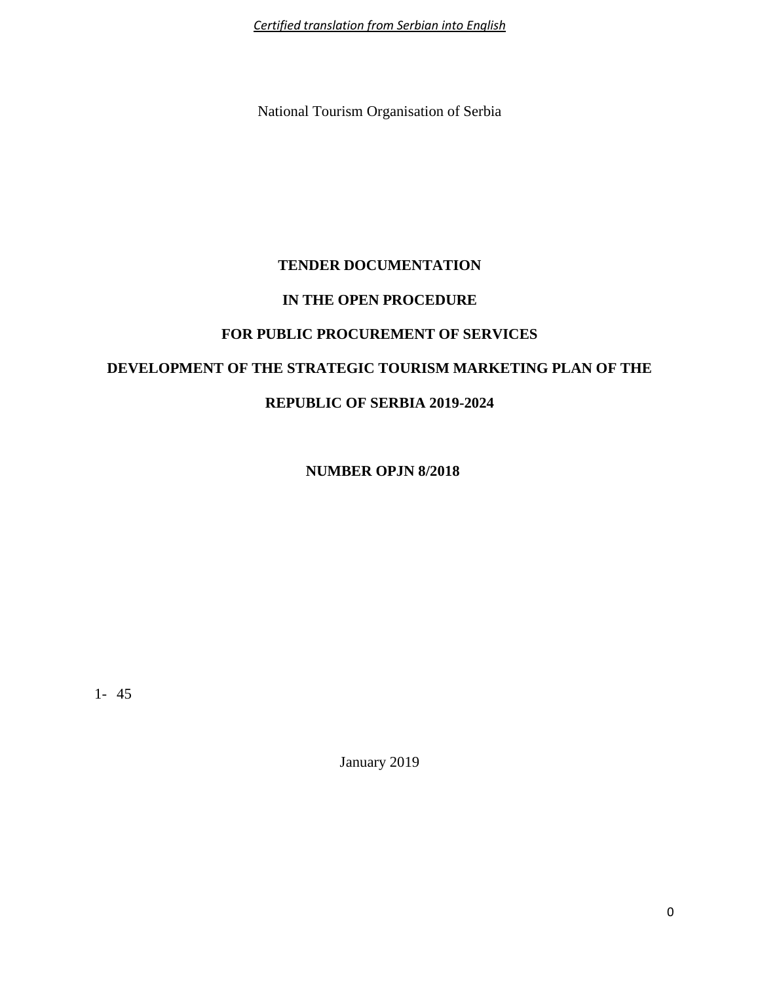*Certified translation from Serbian into English*

National Tourism Organisation of Serbia

# **TENDER DOCUMENTATION IN THE OPEN PROCEDURE FOR PUBLIC PROCUREMENT OF SERVICES DEVELOPMENT OF THE STRATEGIC TOURISM MARKETING PLAN OF THE REPUBLIC OF SERBIA 2019-2024**

**NUMBER OPJN 8/2018**

1- 45

January 2019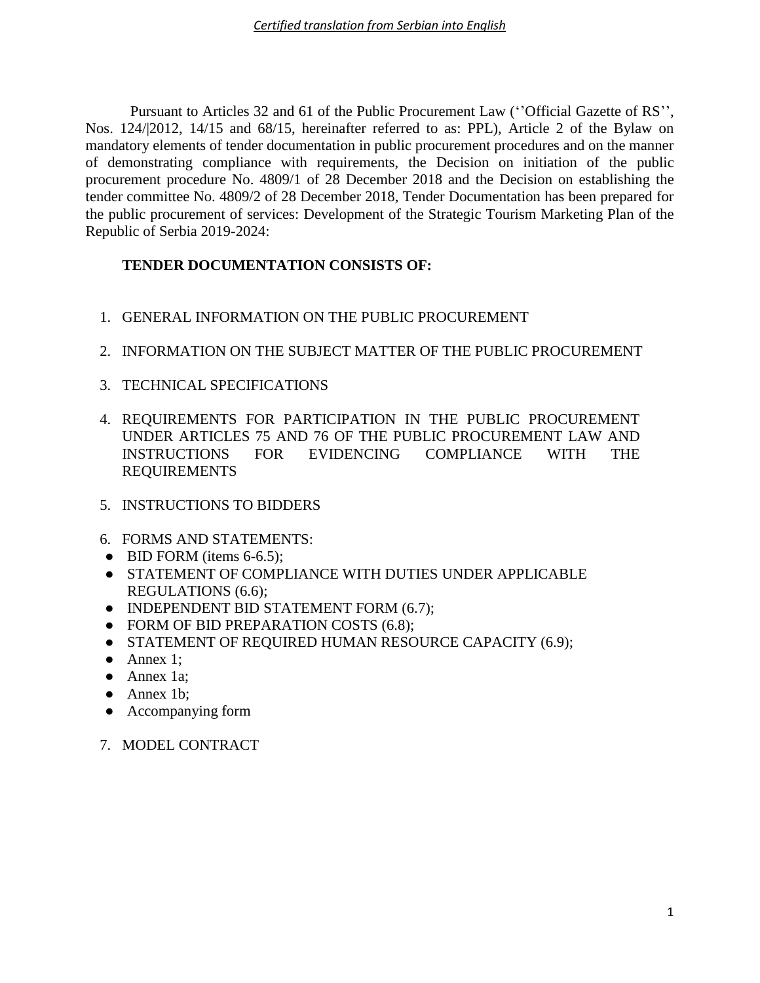Pursuant to Articles 32 and 61 of the Public Procurement Law (''Official Gazette of RS'', Nos. 124/|2012, 14/15 and 68/15, hereinafter referred to as: PPL), Article 2 of the Bylaw on mandatory elements of tender documentation in public procurement procedures and on the manner of demonstrating compliance with requirements, the Decision on initiation of the public procurement procedure No. 4809/1 of 28 December 2018 and the Decision on establishing the tender committee No. 4809/2 of 28 December 2018, Tender Documentation has been prepared for the public procurement of services: Development of the Strategic Tourism Marketing Plan of the Republic of Serbia 2019-2024:

# **TENDER DOCUMENTATION CONSISTS OF:**

- 1. GENERAL INFORMATION ON THE PUBLIC PROCUREMENT
- 2. INFORMATION ON THE SUBJECT MATTER OF THE PUBLIC PROCUREMENT
- 3. TECHNICAL SPECIFICATIONS
- 4. REQUIREMENTS FOR PARTICIPATION IN THE PUBLIC PROCUREMENT UNDER ARTICLES 75 AND 76 OF THE PUBLIC PROCUREMENT LAW AND INSTRUCTIONS FOR EVIDENCING COMPLIANCE WITH THE REQUIREMENTS
- 5. INSTRUCTIONS TO BIDDERS
- 6. FORMS AND STATEMENTS:
- $\bullet$  BID FORM (items 6-6.5);
- STATEMENT OF COMPLIANCE WITH DUTIES UNDER APPLICABLE REGULATIONS (6.6);
- INDEPENDENT BID STATEMENT FORM (6.7);
- FORM OF BID PREPARATION COSTS (6.8);
- STATEMENT OF REQUIRED HUMAN RESOURCE CAPACITY (6.9);
- $\bullet$  Annex 1;
- Annex 1a;
- Annex 1b;
- Accompanying form
- 7. MODEL CONTRACT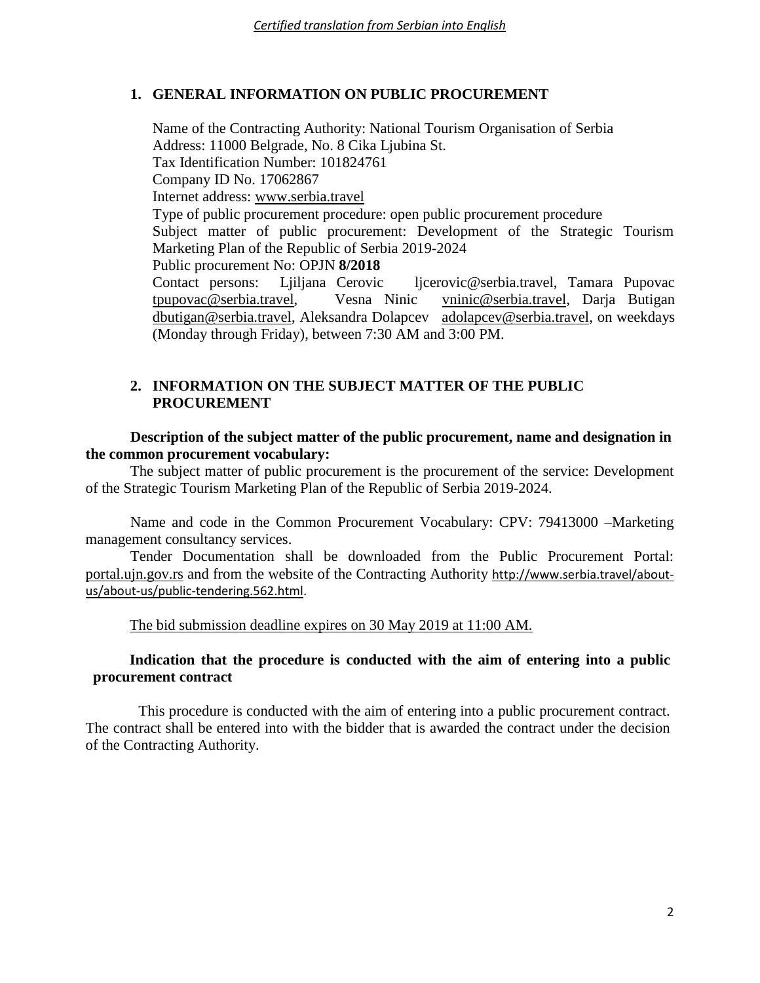# **1. GENERAL INFORMATION ON PUBLIC PROCUREMENT**

Name of the Contracting Authority: National Tourism Organisation of Serbia Address: 11000 Belgrade, No. 8 Cika Ljubina St. Tax Identification Number: 101824761 Company ID No. 17062867 Internet address: [www.serbia.travel](http://www.serbia.travel/) Type of public procurement procedure: open public procurement procedure Subject matter of public procurement: Development of the Strategic Tourism Marketing Plan of the Republic of Serbia 2019-2024 Public procurement No: OPJN **8/2018** Contact persons: Ljiljana Cerovic ljcerovic@serbia.travel, Tamara Pupovac [tpupovac@serbia.travel,](mailto:tpupovac@serbia.travel) Vesna Ninic [vninic@serbia.travel,](mailto:vninic@serbia.travel) Darja Butigan [dbutigan@serbia.travel,](mailto:dbutigan@serbia.travel) Aleksandra Dolapcev [adolapcev@serbia.travel,](mailto:adolapcev@serbia.travel) on weekdays (Monday through Friday), between 7:30 AM and 3:00 PM.

# **2. INFORMATION ON THE SUBJECT MATTER OF THE PUBLIC PROCUREMENT**

**Description of the subject matter of the public procurement, name and designation in the common procurement vocabulary:**

The subject matter of public procurement is the procurement of the service: Development of the Strategic Tourism Marketing Plan of the Republic of Serbia 2019-2024.

Name and code in the Common Procurement Vocabulary: CPV: 79413000 –Marketing management consultancy services.

Tender Documentation shall be downloaded from the Public Procurement Portal: portal.ujn.gov.rs and from the website of the Contracting Authority [http://www.serbia.travel/about](http://www.serbia.travel/about-us/about-us/public-tendering.562.html)[us/about-us/public-tendering.562.html.](http://www.serbia.travel/about-us/about-us/public-tendering.562.html)

The bid submission deadline expires on 30 May 2019 at 11:00 AM.

# **Indication that the procedure is conducted with the aim of entering into a public procurement contract**

This procedure is conducted with the aim of entering into a public procurement contract. The contract shall be entered into with the bidder that is awarded the contract under the decision of the Contracting Authority.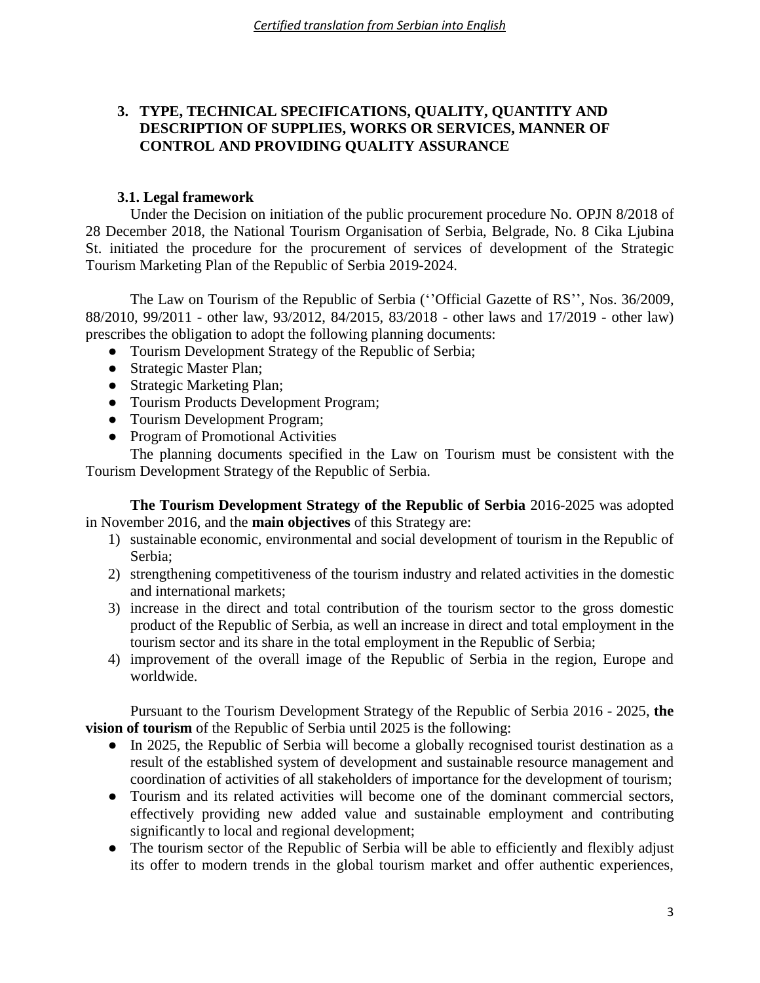# **3. TYPE, TECHNICAL SPECIFICATIONS, QUALITY, QUANTITY AND DESCRIPTION OF SUPPLIES, WORKS OR SERVICES, MANNER OF CONTROL AND PROVIDING QUALITY ASSURANCE**

# **3.1. Legal framework**

Under the Decision on initiation of the public procurement procedure No. OPJN 8/2018 of 28 December 2018, the National Tourism Organisation of Serbia, Belgrade, No. 8 Cika Ljubina St. initiated the procedure for the procurement of services of development of the Strategic Tourism Marketing Plan of the Republic of Serbia 2019-2024.

The Law on Tourism of the Republic of Serbia (''Official Gazette of RS'', Nos. 36/2009, 88/2010, 99/2011 - other law, 93/2012, 84/2015, 83/2018 - other laws and 17/2019 - other law) prescribes the obligation to adopt the following planning documents:

- Tourism Development Strategy of the Republic of Serbia;
- Strategic Master Plan;
- Strategic Marketing Plan;
- Tourism Products Development Program;
- Tourism Development Program;
- Program of Promotional Activities

The planning documents specified in the Law on Tourism must be consistent with the Tourism Development Strategy of the Republic of Serbia.

**The Tourism Development Strategy of the Republic of Serbia** 2016-2025 was adopted in November 2016, and the **main objectives** of this Strategy are:

- 1) sustainable economic, environmental and social development of tourism in the Republic of Serbia;
- 2) strengthening competitiveness of the tourism industry and related activities in the domestic and international markets;
- 3) increase in the direct and total contribution of the tourism sector to the gross domestic product of the Republic of Serbia, as well an increase in direct and total employment in the tourism sector and its share in the total employment in the Republic of Serbia;
- 4) improvement of the overall image of the Republic of Serbia in the region, Europe and worldwide.

Pursuant to the Tourism Development Strategy of the Republic of Serbia 2016 - 2025, **the vision of tourism** of the Republic of Serbia until 2025 is the following:

- In 2025, the Republic of Serbia will become a globally recognised tourist destination as a result of the established system of development and sustainable resource management and coordination of activities of all stakeholders of importance for the development of tourism;
- Tourism and its related activities will become one of the dominant commercial sectors, effectively providing new added value and sustainable employment and contributing significantly to local and regional development;
- The tourism sector of the Republic of Serbia will be able to efficiently and flexibly adjust its offer to modern trends in the global tourism market and offer authentic experiences,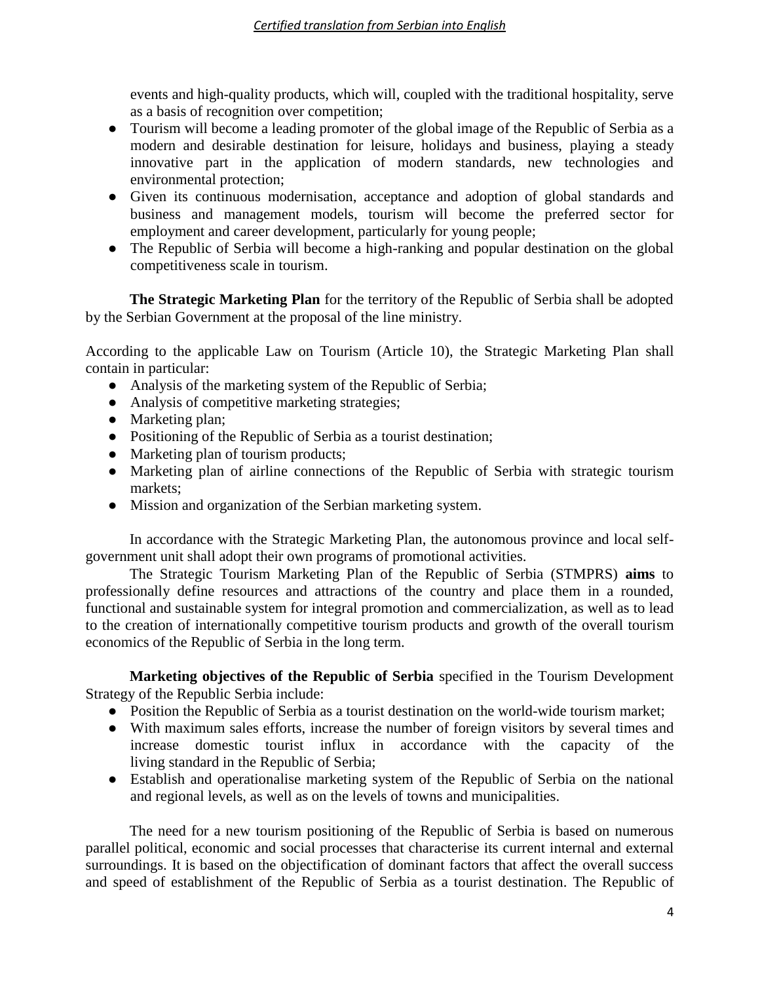events and high-quality products, which will, coupled with the traditional hospitality, serve as a basis of recognition over competition;

- Tourism will become a leading promoter of the global image of the Republic of Serbia as a modern and desirable destination for leisure, holidays and business, playing a steady innovative part in the application of modern standards, new technologies and environmental protection;
- Given its continuous modernisation, acceptance and adoption of global standards and business and management models, tourism will become the preferred sector for employment and career development, particularly for young people;
- The Republic of Serbia will become a high-ranking and popular destination on the global competitiveness scale in tourism.

**The Strategic Marketing Plan** for the territory of the Republic of Serbia shall be adopted by the Serbian Government at the proposal of the line ministry.

According to the applicable Law on Tourism (Article 10), the Strategic Marketing Plan shall contain in particular:

- Analysis of the marketing system of the Republic of Serbia;
- Analysis of competitive marketing strategies;
- Marketing plan;
- Positioning of the Republic of Serbia as a tourist destination;
- Marketing plan of tourism products;
- Marketing plan of airline connections of the Republic of Serbia with strategic tourism markets;
- Mission and organization of the Serbian marketing system.

In accordance with the Strategic Marketing Plan, the autonomous province and local selfgovernment unit shall adopt their own programs of promotional activities.

The Strategic Tourism Marketing Plan of the Republic of Serbia (STMPRS) **aims** to professionally define resources and attractions of the country and place them in a rounded, functional and sustainable system for integral promotion and commercialization, as well as to lead to the creation of internationally competitive tourism products and growth of the overall tourism economics of the Republic of Serbia in the long term.

**Marketing objectives of the Republic of Serbia** specified in the Tourism Development Strategy of the Republic Serbia include:

- Position the Republic of Serbia as a tourist destination on the world-wide tourism market;
- With maximum sales efforts, increase the number of foreign visitors by several times and increase domestic tourist influx in accordance with the capacity of the living standard in the Republic of Serbia;
- Establish and operationalise marketing system of the Republic of Serbia on the national and regional levels, as well as on the levels of towns and municipalities.

The need for a new tourism positioning of the Republic of Serbia is based on numerous parallel political, economic and social processes that characterise its current internal and external surroundings. It is based on the objectification of dominant factors that affect the overall success and speed of establishment of the Republic of Serbia as a tourist destination. The Republic of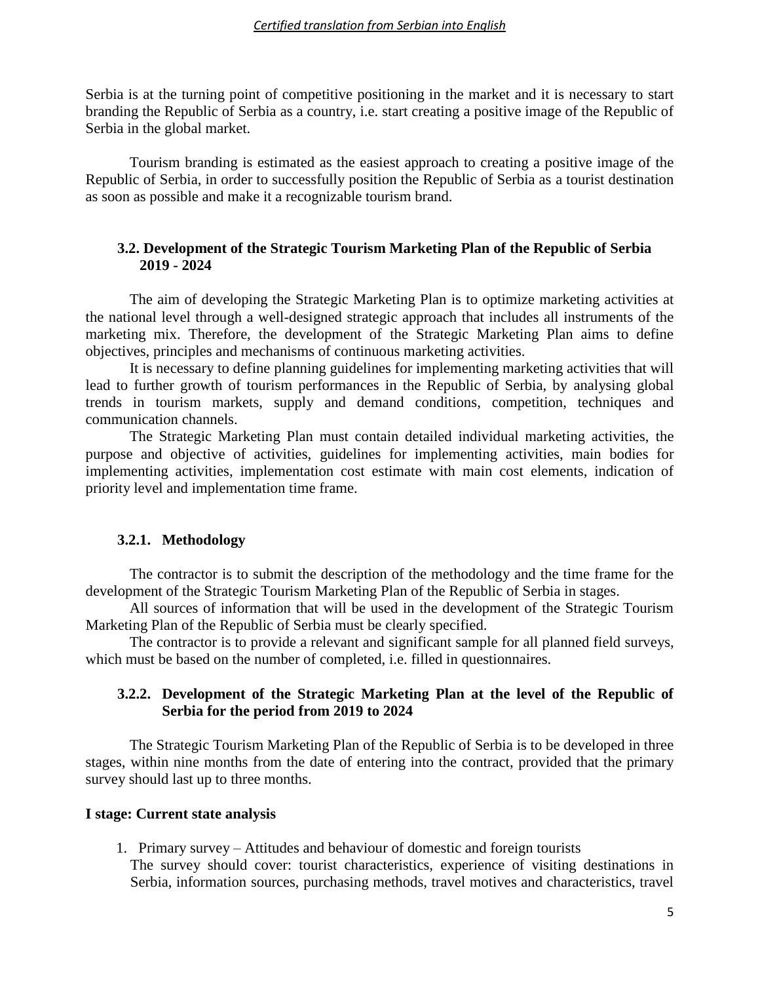#### *Certified translation from Serbian into English*

Serbia is at the turning point of competitive positioning in the market and it is necessary to start branding the Republic of Serbia as a country, i.e. start creating a positive image of the Republic of Serbia in the global market.

Tourism branding is estimated as the easiest approach to creating a positive image of the Republic of Serbia, in order to successfully position the Republic of Serbia as a tourist destination as soon as possible and make it a recognizable tourism brand.

### **3.2. Development of the Strategic Tourism Marketing Plan of the Republic of Serbia 2019 - 2024**

The aim of developing the Strategic Marketing Plan is to optimize marketing activities at the national level through a well-designed strategic approach that includes all instruments of the marketing mix. Therefore, the development of the Strategic Marketing Plan aims to define objectives, principles and mechanisms of continuous marketing activities.

It is necessary to define planning guidelines for implementing marketing activities that will lead to further growth of tourism performances in the Republic of Serbia, by analysing global trends in tourism markets, supply and demand conditions, competition, techniques and communication channels.

The Strategic Marketing Plan must contain detailed individual marketing activities, the purpose and objective of activities, guidelines for implementing activities, main bodies for implementing activities, implementation cost estimate with main cost elements, indication of priority level and implementation time frame.

#### **3.2.1. Methodology**

The contractor is to submit the description of the methodology and the time frame for the development of the Strategic Tourism Marketing Plan of the Republic of Serbia in stages.

All sources of information that will be used in the development of the Strategic Tourism Marketing Plan of the Republic of Serbia must be clearly specified.

The contractor is to provide a relevant and significant sample for all planned field surveys, which must be based on the number of completed, i.e. filled in questionnaires.

#### **3.2.2. Development of the Strategic Marketing Plan at the level of the Republic of Serbia for the period from 2019 to 2024**

The Strategic Tourism Marketing Plan of the Republic of Serbia is to be developed in three stages, within nine months from the date of entering into the contract, provided that the primary survey should last up to three months.

#### **I stage: Current state analysis**

1. Primary survey – Attitudes and behaviour of domestic and foreign tourists The survey should cover: tourist characteristics, experience of visiting destinations in Serbia, information sources, purchasing methods, travel motives and characteristics, travel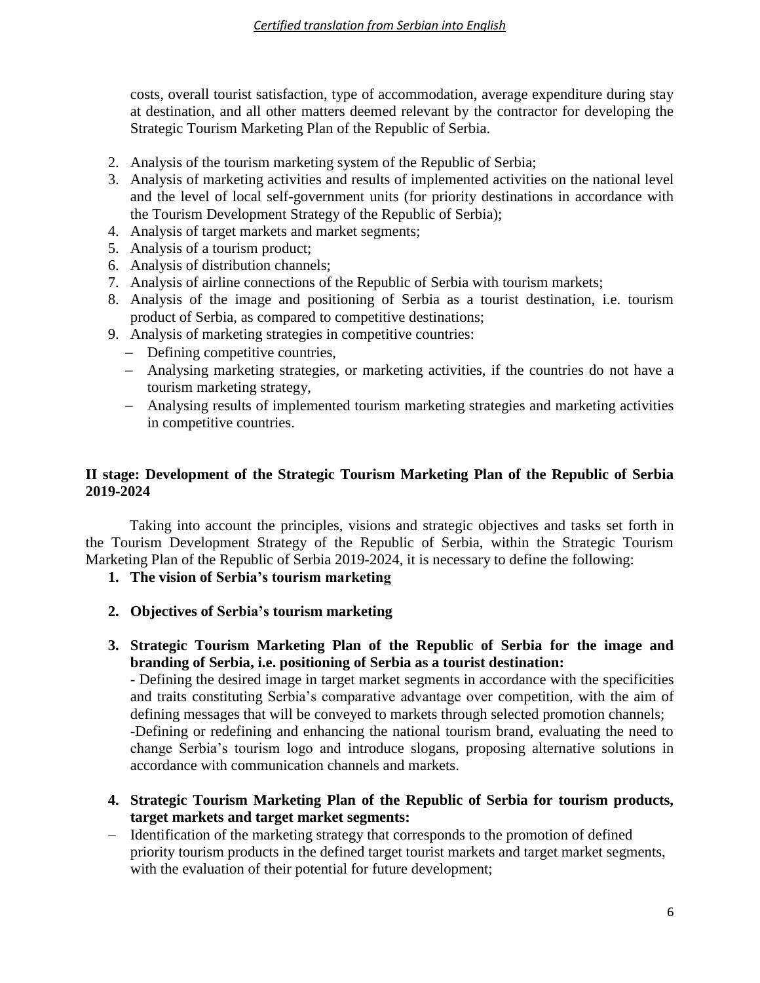costs, overall tourist satisfaction, type of accommodation, average expenditure during stay at destination, and all other matters deemed relevant by the contractor for developing the Strategic Tourism Marketing Plan of the Republic of Serbia.

- 2. Analysis of the tourism marketing system of the Republic of Serbia;
- 3. Analysis of marketing activities and results of implemented activities on the national level and the level of local self-government units (for priority destinations in accordance with the Tourism Development Strategy of the Republic of Serbia);
- 4. Analysis of target markets and market segments;
- 5. Analysis of a tourism product;
- 6. Analysis of distribution channels;
- 7. Analysis of airline connections of the Republic of Serbia with tourism markets;
- 8. Analysis of the image and positioning of Serbia as a tourist destination, i.e. tourism product of Serbia, as compared to competitive destinations;
- 9. Analysis of marketing strategies in competitive countries:
	- Defining competitive countries,
	- Analysing marketing strategies, or marketing activities, if the countries do not have a tourism marketing strategy,
	- Analysing results of implemented tourism marketing strategies and marketing activities in competitive countries.

# **II stage: Development of the Strategic Tourism Marketing Plan of the Republic of Serbia 2019-2024**

Taking into account the principles, visions and strategic objectives and tasks set forth in the Tourism Development Strategy of the Republic of Serbia, within the Strategic Tourism Marketing Plan of the Republic of Serbia 2019-2024, it is necessary to define the following:

- **1. The vision of Serbia's tourism marketing**
- **2. Objectives of Serbia's tourism marketing**
- **3. Strategic Tourism Marketing Plan of the Republic of Serbia for the image and branding of Serbia, i.e. positioning of Serbia as a tourist destination:**

- Defining the desired image in target market segments in accordance with the specificities and traits constituting Serbia's comparative advantage over competition, with the aim of defining messages that will be conveyed to markets through selected promotion channels; -Defining or redefining and enhancing the national tourism brand, evaluating the need to change Serbia's tourism logo and introduce slogans, proposing alternative solutions in accordance with communication channels and markets.

- **4. Strategic Tourism Marketing Plan of the Republic of Serbia for tourism products, target markets and target market segments:**
- Identification of the marketing strategy that corresponds to the promotion of defined priority tourism products in the defined target tourist markets and target market segments, with the evaluation of their potential for future development;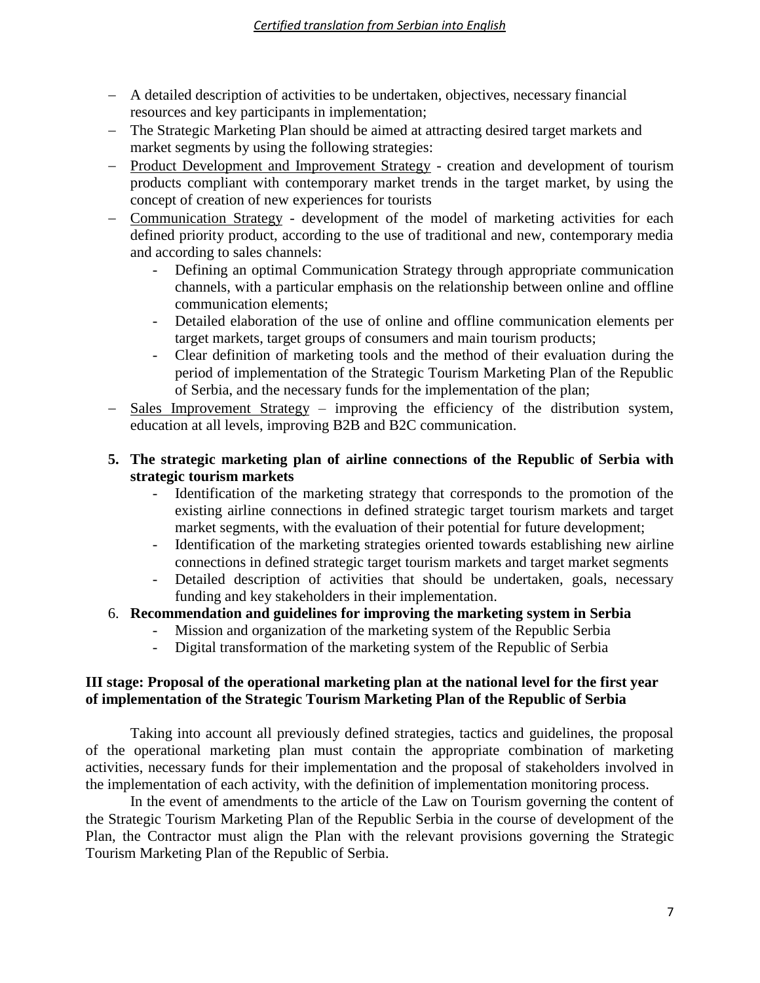- A detailed description of activities to be undertaken, objectives, necessary financial resources and key participants in implementation;
- The Strategic Marketing Plan should be aimed at attracting desired target markets and market segments by using the following strategies:
- Product Development and Improvement Strategy creation and development of tourism products compliant with contemporary market trends in the target market, by using the concept of creation of new experiences for tourists
- Communication Strategy development of the model of marketing activities for each defined priority product, according to the use of traditional and new, contemporary media and according to sales channels:
	- Defining an optimal Communication Strategy through appropriate communication channels, with a particular emphasis on the relationship between online and offline communication elements;
	- Detailed elaboration of the use of online and offline communication elements per target markets, target groups of consumers and main tourism products;
	- Clear definition of marketing tools and the method of their evaluation during the period of implementation of the Strategic Tourism Marketing Plan of the Republic of Serbia, and the necessary funds for the implementation of the plan;
- Sales Improvement Strategy improving the efficiency of the distribution system, education at all levels, improving B2B and B2C communication.

# **5. The strategic marketing plan of airline connections of the Republic of Serbia with strategic tourism markets**

- Identification of the marketing strategy that corresponds to the promotion of the existing airline connections in defined strategic target tourism markets and target market segments, with the evaluation of their potential for future development;
- Identification of the marketing strategies oriented towards establishing new airline connections in defined strategic target tourism markets and target market segments
- Detailed description of activities that should be undertaken, goals, necessary funding and key stakeholders in their implementation.

# 6. **Recommendation and guidelines for improving the marketing system in Serbia**

- Mission and organization of the marketing system of the Republic Serbia
	- Digital transformation of the marketing system of the Republic of Serbia

# **III stage: Proposal of the operational marketing plan at the national level for the first year of implementation of the Strategic Tourism Marketing Plan of the Republic of Serbia**

Taking into account all previously defined strategies, tactics and guidelines, the proposal of the operational marketing plan must contain the appropriate combination of marketing activities, necessary funds for their implementation and the proposal of stakeholders involved in the implementation of each activity, with the definition of implementation monitoring process.

In the event of amendments to the article of the Law on Tourism governing the content of the Strategic Tourism Marketing Plan of the Republic Serbia in the course of development of the Plan, the Contractor must align the Plan with the relevant provisions governing the Strategic Tourism Marketing Plan of the Republic of Serbia.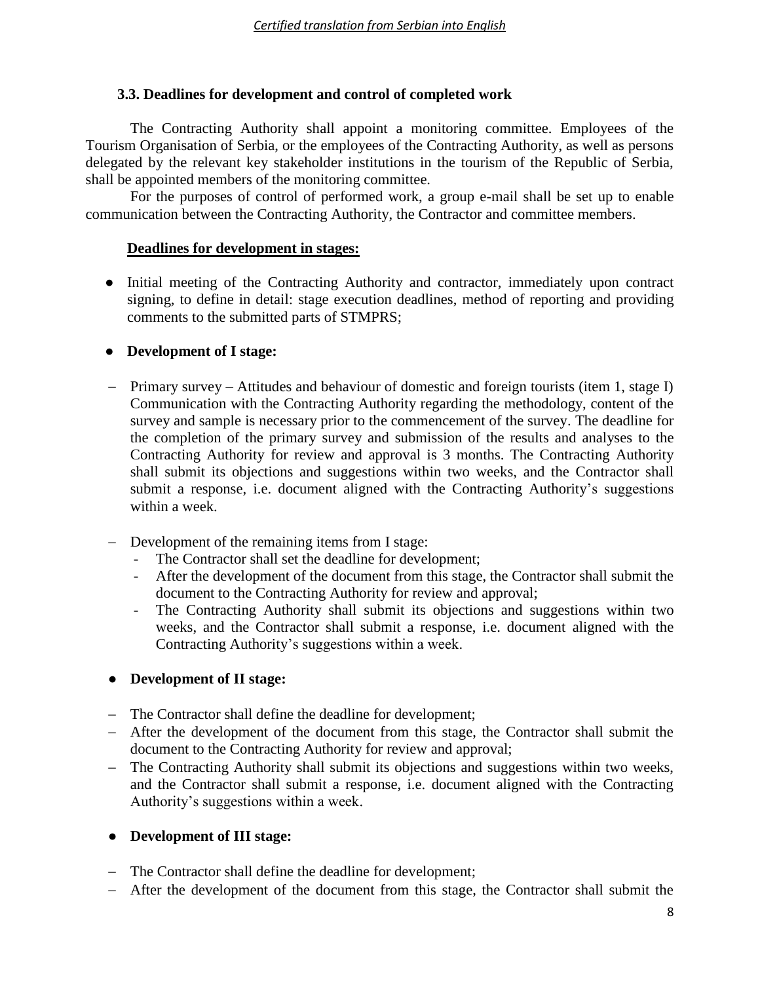# **3.3. Deadlines for development and control of completed work**

The Contracting Authority shall appoint a monitoring committee. Employees of the Tourism Organisation of Serbia, or the employees of the Contracting Authority, as well as persons delegated by the relevant key stakeholder institutions in the tourism of the Republic of Serbia, shall be appointed members of the monitoring committee.

For the purposes of control of performed work, a group e-mail shall be set up to enable communication between the Contracting Authority, the Contractor and committee members.

# **Deadlines for development in stages:**

● Initial meeting of the Contracting Authority and contractor, immediately upon contract signing, to define in detail: stage execution deadlines, method of reporting and providing comments to the submitted parts of STMPRS;

# ● **Development of I stage:**

- Primary survey Attitudes and behaviour of domestic and foreign tourists (item 1, stage I) Communication with the Contracting Authority regarding the methodology, content of the survey and sample is necessary prior to the commencement of the survey. The deadline for the completion of the primary survey and submission of the results and analyses to the Contracting Authority for review and approval is 3 months. The Contracting Authority shall submit its objections and suggestions within two weeks, and the Contractor shall submit a response, i.e. document aligned with the Contracting Authority's suggestions within a week.
- Development of the remaining items from I stage:
	- The Contractor shall set the deadline for development;
	- After the development of the document from this stage, the Contractor shall submit the document to the Contracting Authority for review and approval;
	- The Contracting Authority shall submit its objections and suggestions within two weeks, and the Contractor shall submit a response, i.e. document aligned with the Contracting Authority's suggestions within a week.

# ● **Development of II stage:**

- The Contractor shall define the deadline for development;
- After the development of the document from this stage, the Contractor shall submit the document to the Contracting Authority for review and approval;
- The Contracting Authority shall submit its objections and suggestions within two weeks, and the Contractor shall submit a response, i.e. document aligned with the Contracting Authority's suggestions within a week.

# ● **Development of III stage:**

- The Contractor shall define the deadline for development;
- After the development of the document from this stage, the Contractor shall submit the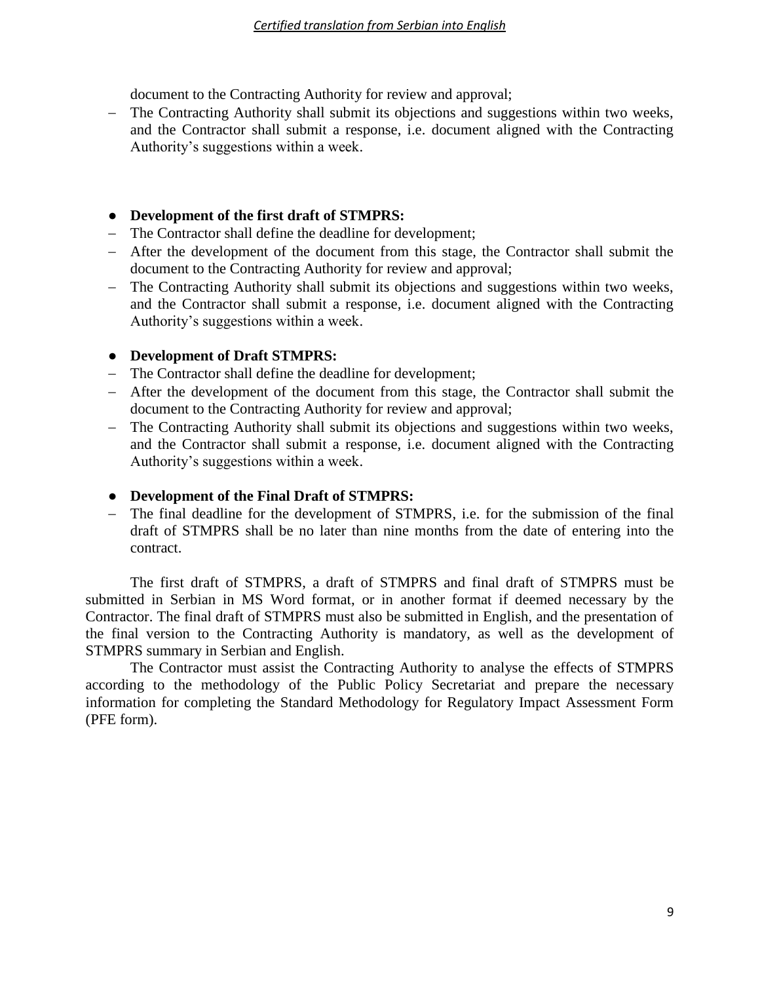document to the Contracting Authority for review and approval;

 The Contracting Authority shall submit its objections and suggestions within two weeks, and the Contractor shall submit a response, i.e. document aligned with the Contracting Authority's suggestions within a week.

# ● **Development of the first draft of STMPRS:**

- The Contractor shall define the deadline for development;
- After the development of the document from this stage, the Contractor shall submit the document to the Contracting Authority for review and approval;
- The Contracting Authority shall submit its objections and suggestions within two weeks, and the Contractor shall submit a response, i.e. document aligned with the Contracting Authority's suggestions within a week.

# ● **Development of Draft STMPRS:**

- The Contractor shall define the deadline for development;
- After the development of the document from this stage, the Contractor shall submit the document to the Contracting Authority for review and approval;
- The Contracting Authority shall submit its objections and suggestions within two weeks, and the Contractor shall submit a response, i.e. document aligned with the Contracting Authority's suggestions within a week.

# ● **Development of the Final Draft of STMPRS:**

 The final deadline for the development of STMPRS, i.e. for the submission of the final draft of STMPRS shall be no later than nine months from the date of entering into the contract.

The first draft of STMPRS, a draft of STMPRS and final draft of STMPRS must be submitted in Serbian in MS Word format, or in another format if deemed necessary by the Contractor. The final draft of STMPRS must also be submitted in English, and the presentation of the final version to the Contracting Authority is mandatory, as well as the development of STMPRS summary in Serbian and English.

The Contractor must assist the Contracting Authority to analyse the effects of STMPRS according to the methodology of the Public Policy Secretariat and prepare the necessary information for completing the Standard Methodology for Regulatory Impact Assessment Form (PFE form).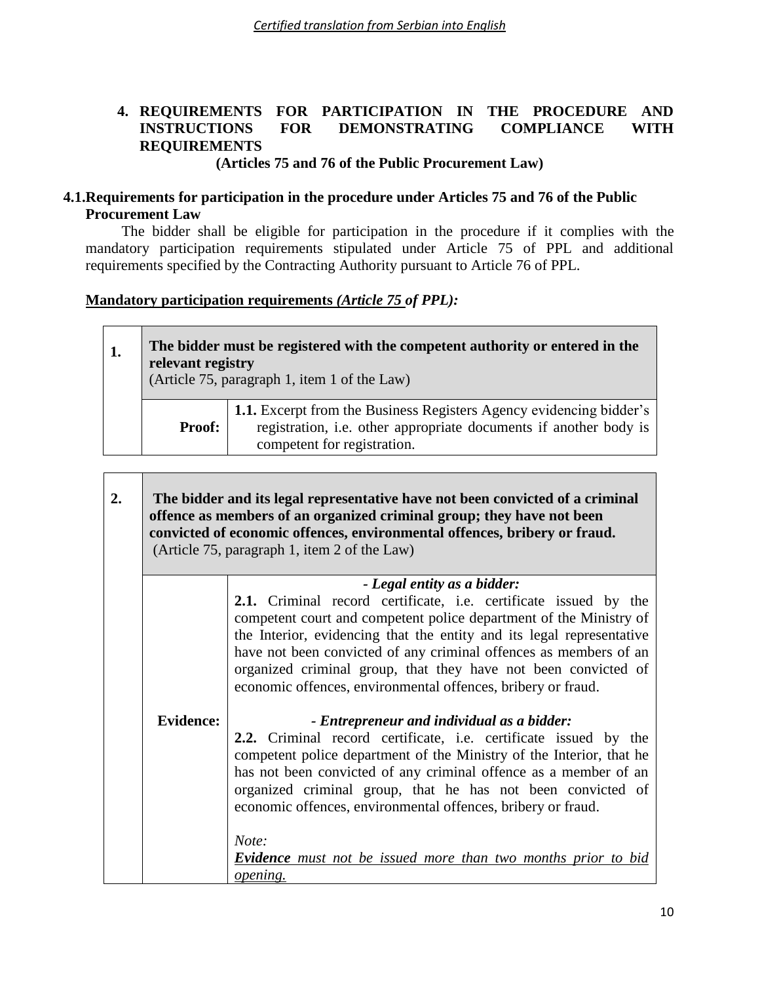# **4. REQUIREMENTS FOR PARTICIPATION IN THE PROCEDURE AND INSTRUCTIONS FOR DEMONSTRATING COMPLIANCE WITH REQUIREMENTS**

**(Articles 75 and 76 of the Public Procurement Law)**

# **4.1.Requirements for participation in the procedure under Articles 75 and 76 of the Public Procurement Law**

The bidder shall be eligible for participation in the procedure if it complies with the mandatory participation requirements stipulated under Article 75 of PPL and additional requirements specified by the Contracting Authority pursuant to Article 76 of PPL.

# **Mandatory participation requirements** *(Article 75 of PPL):*

 $\overline{\phantom{0}}$ 

 $\overline{\phantom{0}}$ 

| The bidder must be registered with the competent authority or entered in the<br>relevant registry<br>(Article 75, paragraph 1, item 1 of the Law) |                                                                                                                                                                                |  |
|---------------------------------------------------------------------------------------------------------------------------------------------------|--------------------------------------------------------------------------------------------------------------------------------------------------------------------------------|--|
| <b>Proof:</b>                                                                                                                                     | <b>1.1.</b> Excerpt from the Business Registers Agency evidencing bidder's<br>registration, i.e. other appropriate documents if another body is<br>competent for registration. |  |

| 2. | The bidder and its legal representative have not been convicted of a criminal<br>offence as members of an organized criminal group; they have not been<br>convicted of economic offences, environmental offences, bribery or fraud.<br>(Article 75, paragraph 1, item 2 of the Law) |                                                                                                                                                                                                                                                                                                                                                                                                                                                                                               |  |
|----|-------------------------------------------------------------------------------------------------------------------------------------------------------------------------------------------------------------------------------------------------------------------------------------|-----------------------------------------------------------------------------------------------------------------------------------------------------------------------------------------------------------------------------------------------------------------------------------------------------------------------------------------------------------------------------------------------------------------------------------------------------------------------------------------------|--|
|    | - Legal entity as a bidder:                                                                                                                                                                                                                                                         |                                                                                                                                                                                                                                                                                                                                                                                                                                                                                               |  |
|    |                                                                                                                                                                                                                                                                                     | 2.1. Criminal record certificate, i.e. certificate issued by the<br>competent court and competent police department of the Ministry of<br>the Interior, evidencing that the entity and its legal representative<br>have not been convicted of any criminal offences as members of an<br>organized criminal group, that they have not been convicted of<br>economic offences, environmental offences, bribery or fraud.                                                                        |  |
|    | <b>Evidence:</b>                                                                                                                                                                                                                                                                    | - Entrepreneur and individual as a bidder:<br>2.2. Criminal record certificate, i.e. certificate issued by the<br>competent police department of the Ministry of the Interior, that he<br>has not been convicted of any criminal offence as a member of an<br>organized criminal group, that he has not been convicted of<br>economic offences, environmental offences, bribery or fraud.<br>Note:<br><b>Evidence</b> must not be issued more than two months prior to bid<br><i>opening.</i> |  |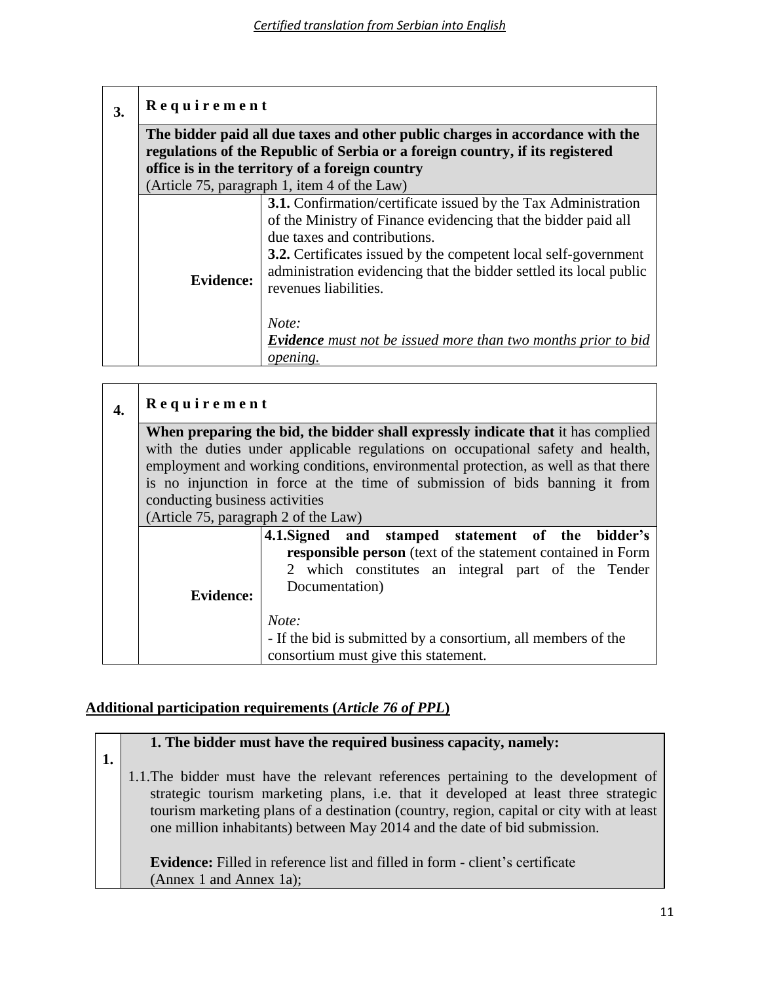| 3. | Requirement                                                                                                                                                    |                                                                                                                                                                                                                                                                                                                                                                                                                                   |  |  |
|----|----------------------------------------------------------------------------------------------------------------------------------------------------------------|-----------------------------------------------------------------------------------------------------------------------------------------------------------------------------------------------------------------------------------------------------------------------------------------------------------------------------------------------------------------------------------------------------------------------------------|--|--|
|    | The bidder paid all due taxes and other public charges in accordance with the<br>regulations of the Republic of Serbia or a foreign country, if its registered |                                                                                                                                                                                                                                                                                                                                                                                                                                   |  |  |
|    | office is in the territory of a foreign country                                                                                                                |                                                                                                                                                                                                                                                                                                                                                                                                                                   |  |  |
|    |                                                                                                                                                                | (Article 75, paragraph 1, item 4 of the Law)                                                                                                                                                                                                                                                                                                                                                                                      |  |  |
|    | <b>Evidence:</b>                                                                                                                                               | <b>3.1.</b> Confirmation/certificate issued by the Tax Administration<br>of the Ministry of Finance evidencing that the bidder paid all<br>due taxes and contributions.<br><b>3.2.</b> Certificates issued by the competent local self-government<br>administration evidencing that the bidder settled its local public<br>revenues liabilities.<br>Note:<br><b>Evidence</b> must not be issued more than two months prior to bid |  |  |
|    |                                                                                                                                                                | opening.                                                                                                                                                                                                                                                                                                                                                                                                                          |  |  |

| 4. | Requirement                                                                                                                                                                                                  |                                                                                                                |  |  |
|----|--------------------------------------------------------------------------------------------------------------------------------------------------------------------------------------------------------------|----------------------------------------------------------------------------------------------------------------|--|--|
|    | When preparing the bid, the bidder shall expressly indicate that it has complied                                                                                                                             |                                                                                                                |  |  |
|    |                                                                                                                                                                                                              | with the duties under applicable regulations on occupational safety and health,                                |  |  |
|    |                                                                                                                                                                                                              | employment and working conditions, environmental protection, as well as that there                             |  |  |
|    | is no injunction in force at the time of submission of bids banning it from                                                                                                                                  |                                                                                                                |  |  |
|    | conducting business activities                                                                                                                                                                               |                                                                                                                |  |  |
|    | (Article 75, paragraph 2 of the Law)                                                                                                                                                                         |                                                                                                                |  |  |
|    | 4.1. Signed and stamped statement of the bidder's<br>responsible person (text of the statement contained in Form<br>2 which constitutes an integral part of the Tender<br>Documentation)<br><b>Evidence:</b> |                                                                                                                |  |  |
|    |                                                                                                                                                                                                              | Note:<br>- If the bid is submitted by a consortium, all members of the<br>consortium must give this statement. |  |  |

# **Additional participation requirements (***Article 76 of PPL***)**

**1. 1. The bidder must have the required business capacity, namely:** 1.1.The bidder must have the relevant references pertaining to the development of strategic tourism marketing plans, i.e. that it developed at least three strategic tourism marketing plans of a destination (country, region, capital or city with at least one million inhabitants) between May 2014 and the date of bid submission. **Evidence:** Filled in reference list and filled in form - client's certificate (Annex 1 and Annex 1a);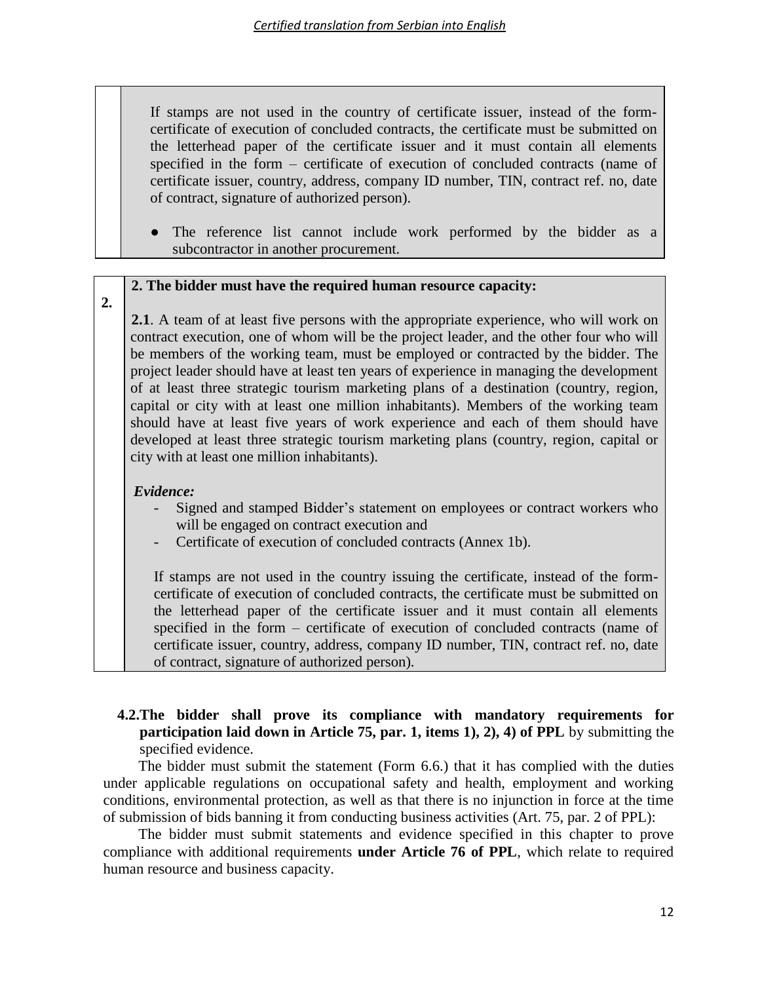If stamps are not used in the country of certificate issuer, instead of the formcertificate of execution of concluded contracts, the certificate must be submitted on the letterhead paper of the certificate issuer and it must contain all elements specified in the form – certificate of execution of concluded contracts (name of certificate issuer, country, address, company ID number, TIN, contract ref. no, date of contract, signature of authorized person).

The reference list cannot include work performed by the bidder as a subcontractor in another procurement.

### **2. The bidder must have the required human resource capacity:**

**2.**

**2.1**. A team of at least five persons with the appropriate experience, who will work on contract execution, one of whom will be the project leader, and the other four who will be members of the working team, must be employed or contracted by the bidder. The project leader should have at least ten years of experience in managing the development of at least three strategic tourism marketing plans of a destination (country, region, capital or city with at least one million inhabitants). Members of the working team should have at least five years of work experience and each of them should have developed at least three strategic tourism marketing plans (country, region, capital or city with at least one million inhabitants).

# *Evidence:*

- Signed and stamped Bidder's statement on employees or contract workers who will be engaged on contract execution and
- Certificate of execution of concluded contracts (Annex 1b).

If stamps are not used in the country issuing the certificate, instead of the formcertificate of execution of concluded contracts, the certificate must be submitted on the letterhead paper of the certificate issuer and it must contain all elements specified in the form – certificate of execution of concluded contracts (name of certificate issuer, country, address, company ID number, TIN, contract ref. no, date of contract, signature of authorized person).

# **4.2.The bidder shall prove its compliance with mandatory requirements for participation laid down in Article 75, par. 1, items 1), 2), 4) of PPL** by submitting the specified evidence.

The bidder must submit the statement (Form 6.6.) that it has complied with the duties under applicable regulations on occupational safety and health, employment and working conditions, environmental protection, as well as that there is no injunction in force at the time of submission of bids banning it from conducting business activities (Art. 75, par. 2 of PPL):

The bidder must submit statements and evidence specified in this chapter to prove compliance with additional requirements **under Article 76 of PPL**, which relate to required human resource and business capacity.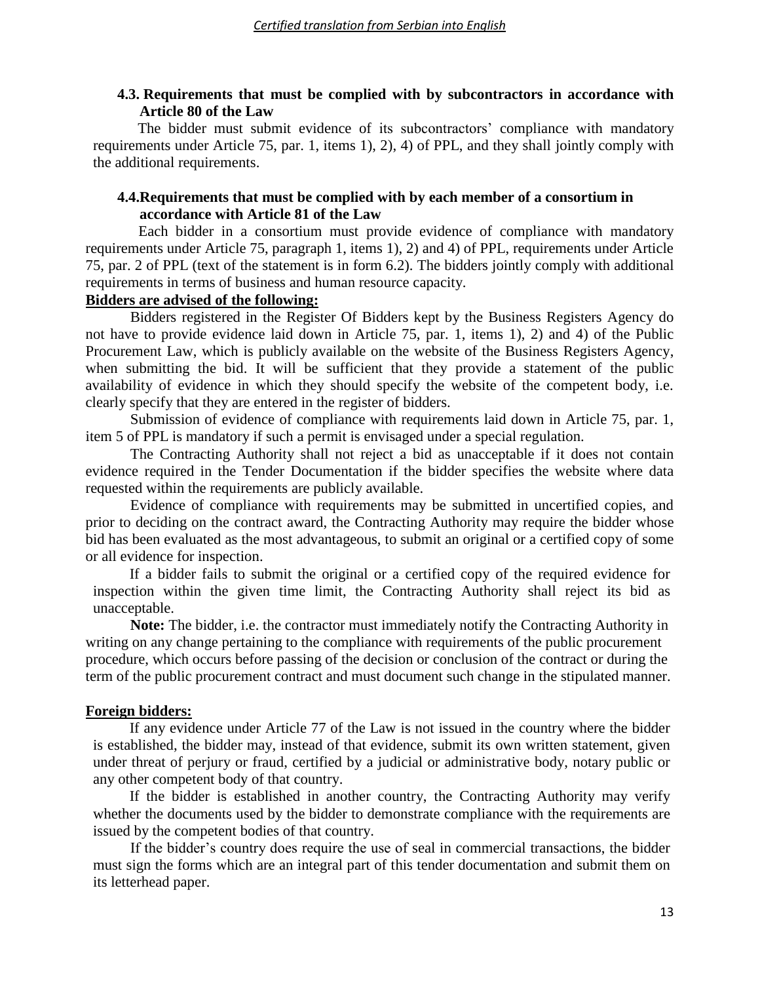# **4.3. Requirements that must be complied with by subcontractors in accordance with Article 80 of the Law**

The bidder must submit evidence of its subcontractors' compliance with mandatory requirements under Article 75, par. 1, items 1), 2), 4) of PPL, and they shall jointly comply with the additional requirements.

# **4.4.Requirements that must be complied with by each member of a consortium in accordance with Article 81 of the Law**

Each bidder in a consortium must provide evidence of compliance with mandatory requirements under Article 75, paragraph 1, items 1), 2) and 4) of PPL, requirements under Article 75, par. 2 of PPL (text of the statement is in form 6.2). The bidders jointly comply with additional requirements in terms of business and human resource capacity.

# **Bidders are advised of the following:**

Bidders registered in the Register Of Bidders kept by the Business Registers Agency do not have to provide evidence laid down in Article 75, par. 1, items 1), 2) and 4) of the Public Procurement Law, which is publicly available on the website of the Business Registers Agency, when submitting the bid. It will be sufficient that they provide a statement of the public availability of evidence in which they should specify the website of the competent body, i.e. clearly specify that they are entered in the register of bidders.

Submission of evidence of compliance with requirements laid down in Article 75, par. 1, item 5 of PPL is mandatory if such a permit is envisaged under a special regulation.

The Contracting Authority shall not reject a bid as unacceptable if it does not contain evidence required in the Tender Documentation if the bidder specifies the website where data requested within the requirements are publicly available.

Evidence of compliance with requirements may be submitted in uncertified copies, and prior to deciding on the contract award, the Contracting Authority may require the bidder whose bid has been evaluated as the most advantageous, to submit an original or a certified copy of some or all evidence for inspection.

If a bidder fails to submit the original or a certified copy of the required evidence for inspection within the given time limit, the Contracting Authority shall reject its bid as unacceptable.

**Note:** The bidder, i.e. the contractor must immediately notify the Contracting Authority in writing on any change pertaining to the compliance with requirements of the public procurement procedure, which occurs before passing of the decision or conclusion of the contract or during the term of the public procurement contract and must document such change in the stipulated manner.

# **Foreign bidders:**

If any evidence under Article 77 of the Law is not issued in the country where the bidder is established, the bidder may, instead of that evidence, submit its own written statement, given under threat of perjury or fraud, certified by a judicial or administrative body, notary public or any other competent body of that country.

If the bidder is established in another country, the Contracting Authority may verify whether the documents used by the bidder to demonstrate compliance with the requirements are issued by the competent bodies of that country.

If the bidder's country does require the use of seal in commercial transactions, the bidder must sign the forms which are an integral part of this tender documentation and submit them on its letterhead paper.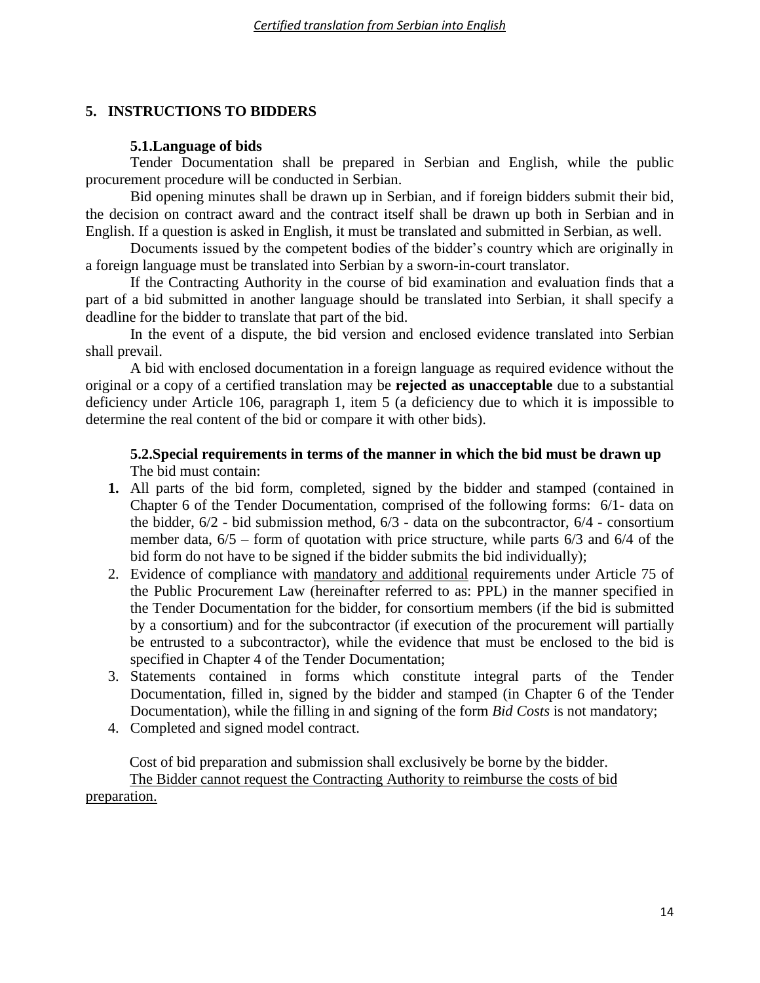# **5. INSTRUCTIONS TO BIDDERS**

# **5.1.Language of bids**

Tender Documentation shall be prepared in Serbian and English, while the public procurement procedure will be conducted in Serbian.

Bid opening minutes shall be drawn up in Serbian, and if foreign bidders submit their bid, the decision on contract award and the contract itself shall be drawn up both in Serbian and in English. If a question is asked in English, it must be translated and submitted in Serbian, as well.

Documents issued by the competent bodies of the bidder's country which are originally in a foreign language must be translated into Serbian by a sworn-in-court translator.

If the Contracting Authority in the course of bid examination and evaluation finds that a part of a bid submitted in another language should be translated into Serbian, it shall specify a deadline for the bidder to translate that part of the bid.

In the event of a dispute, the bid version and enclosed evidence translated into Serbian shall prevail.

A bid with enclosed documentation in a foreign language as required evidence without the original or a copy of a certified translation may be **rejected as unacceptable** due to a substantial deficiency under Article 106, paragraph 1, item 5 (a deficiency due to which it is impossible to determine the real content of the bid or compare it with other bids).

# **5.2.Special requirements in terms of the manner in which the bid must be drawn up** The bid must contain:

- **1.** All parts of the bid form, completed, signed by the bidder and stamped (contained in Chapter 6 of the Tender Documentation, comprised of the following forms: 6/1- data on the bidder, 6/2 - bid submission method, 6/3 - data on the subcontractor, 6/4 - consortium member data,  $6/5$  – form of quotation with price structure, while parts  $6/3$  and  $6/4$  of the bid form do not have to be signed if the bidder submits the bid individually);
- 2. Evidence of compliance with mandatory and additional requirements under Article 75 of the Public Procurement Law (hereinafter referred to as: PPL) in the manner specified in the Tender Documentation for the bidder, for consortium members (if the bid is submitted by a consortium) and for the subcontractor (if execution of the procurement will partially be entrusted to a subcontractor), while the evidence that must be enclosed to the bid is specified in Chapter 4 of the Tender Documentation;
- 3. Statements contained in forms which constitute integral parts of the Tender Documentation, filled in, signed by the bidder and stamped (in Chapter 6 of the Tender Documentation), while the filling in and signing of the form *Bid Costs* is not mandatory;
- 4. Completed and signed model contract.

Cost of bid preparation and submission shall exclusively be borne by the bidder. The Bidder cannot request the Contracting Authority to reimburse the costs of bid preparation.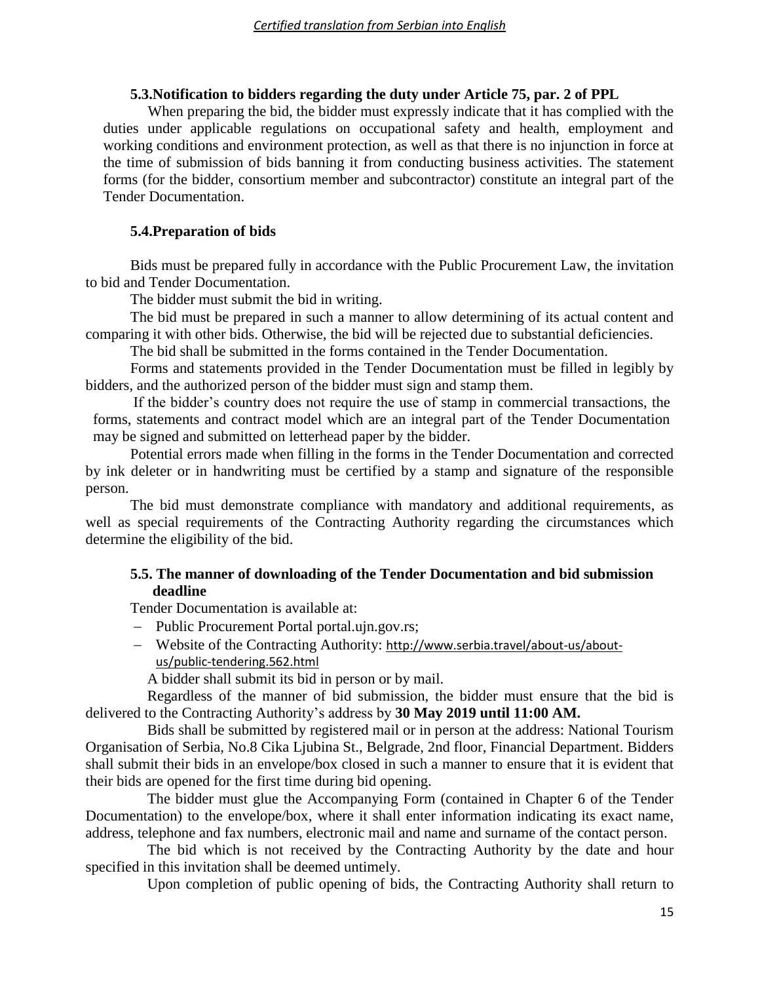### **5.3.Notification to bidders regarding the duty under Article 75, par. 2 of PPL**

When preparing the bid, the bidder must expressly indicate that it has complied with the duties under applicable regulations on occupational safety and health, employment and working conditions and environment protection, as well as that there is no injunction in force at the time of submission of bids banning it from conducting business activities. The statement forms (for the bidder, consortium member and subcontractor) constitute an integral part of the Tender Documentation.

### **5.4.Preparation of bids**

Bids must be prepared fully in accordance with the Public Procurement Law, the invitation to bid and Tender Documentation.

The bidder must submit the bid in writing.

The bid must be prepared in such a manner to allow determining of its actual content and comparing it with other bids. Otherwise, the bid will be rejected due to substantial deficiencies.

The bid shall be submitted in the forms contained in the Tender Documentation.

Forms and statements provided in the Tender Documentation must be filled in legibly by bidders, and the authorized person of the bidder must sign and stamp them.

If the bidder's country does not require the use of stamp in commercial transactions, the forms, statements and contract model which are an integral part of the Tender Documentation may be signed and submitted on letterhead paper by the bidder.

Potential errors made when filling in the forms in the Tender Documentation and corrected by ink deleter or in handwriting must be certified by a stamp and signature of the responsible person.

The bid must demonstrate compliance with mandatory and additional requirements, as well as special requirements of the Contracting Authority regarding the circumstances which determine the eligibility of the bid.

### **5.5. The manner of downloading of the Tender Documentation and bid submission deadline**

Tender Documentation is available at:

- Public Procurement Portal portal.ujn.gov.rs;
- Website of the Contracting Authority: [http://www.serbia.travel/about-us/about](http://www.serbia.travel/about-us/about-us/public-tendering.562.html)[us/public-tendering.562.html](http://www.serbia.travel/about-us/about-us/public-tendering.562.html)

A bidder shall submit its bid in person or by mail.

Regardless of the manner of bid submission, the bidder must ensure that the bid is delivered to the Contracting Authority's address by **30 May 2019 until 11:00 AM.**

Bids shall be submitted by registered mail or in person at the address: National Tourism Organisation of Serbia, No.8 Cika Ljubina St., Belgrade, 2nd floor, Financial Department. Bidders shall submit their bids in an envelope/box closed in such a manner to ensure that it is evident that their bids are opened for the first time during bid opening.

The bidder must glue the Accompanying Form (contained in Chapter 6 of the Tender Documentation) to the envelope/box, where it shall enter information indicating its exact name, address, telephone and fax numbers, electronic mail and name and surname of the contact person.

The bid which is not received by the Contracting Authority by the date and hour specified in this invitation shall be deemed untimely.

Upon completion of public opening of bids, the Contracting Authority shall return to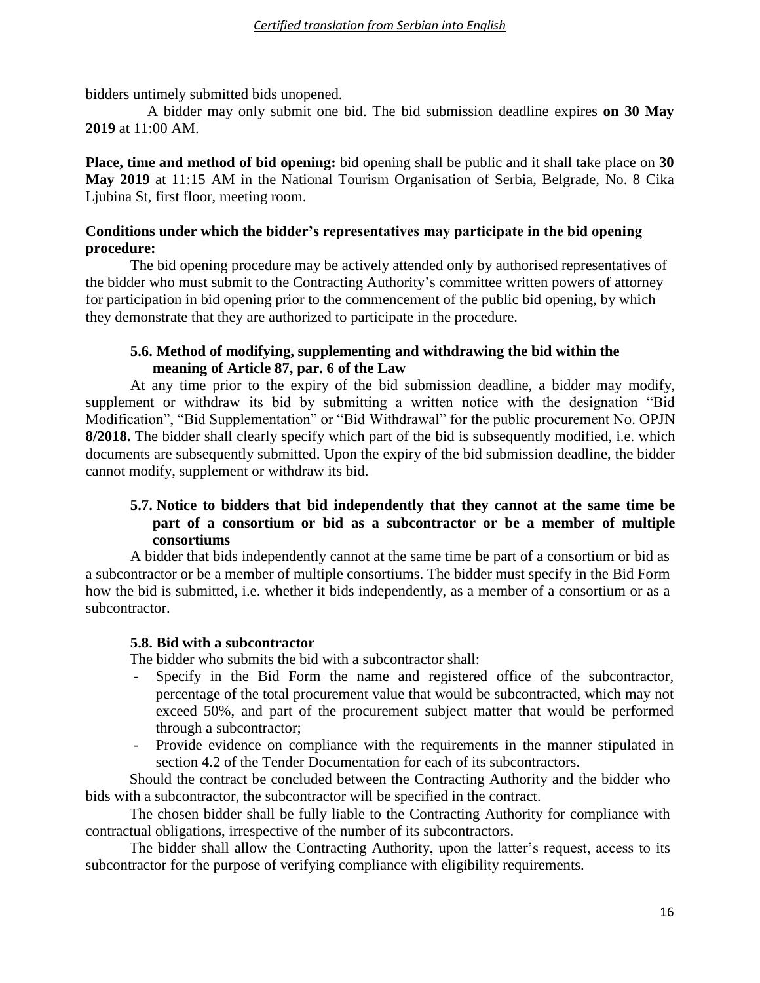bidders untimely submitted bids unopened.

A bidder may only submit one bid. The bid submission deadline expires **on 30 May 2019** at 11:00 AM.

**Place, time and method of bid opening:** bid opening shall be public and it shall take place on **30 May 2019** at 11:15 AM in the National Tourism Organisation of Serbia, Belgrade, No. 8 Cika Ljubina St, first floor, meeting room.

# **Conditions under which the bidder's representatives may participate in the bid opening procedure:**

The bid opening procedure may be actively attended only by authorised representatives of the bidder who must submit to the Contracting Authority's committee written powers of attorney for participation in bid opening prior to the commencement of the public bid opening, by which they demonstrate that they are authorized to participate in the procedure.

# **5.6. Method of modifying, supplementing and withdrawing the bid within the meaning of Article 87, par. 6 of the Law**

At any time prior to the expiry of the bid submission deadline, a bidder may modify, supplement or withdraw its bid by submitting a written notice with the designation "Bid Modification", "Bid Supplementation" or "Bid Withdrawal" for the public procurement No. OPJN **8/2018.** The bidder shall clearly specify which part of the bid is subsequently modified, i.e. which documents are subsequently submitted. Upon the expiry of the bid submission deadline, the bidder cannot modify, supplement or withdraw its bid.

# **5.7. Notice to bidders that bid independently that they cannot at the same time be part of a consortium or bid as a subcontractor or be a member of multiple consortiums**

A bidder that bids independently cannot at the same time be part of a consortium or bid as a subcontractor or be a member of multiple consortiums. The bidder must specify in the Bid Form how the bid is submitted, i.e. whether it bids independently, as a member of a consortium or as a subcontractor.

# **5.8. Bid with a subcontractor**

The bidder who submits the bid with a subcontractor shall:

- Specify in the Bid Form the name and registered office of the subcontractor, percentage of the total procurement value that would be subcontracted, which may not exceed 50%, and part of the procurement subject matter that would be performed through a subcontractor;
- Provide evidence on compliance with the requirements in the manner stipulated in section 4.2 of the Tender Documentation for each of its subcontractors.

Should the contract be concluded between the Contracting Authority and the bidder who bids with a subcontractor, the subcontractor will be specified in the contract.

The chosen bidder shall be fully liable to the Contracting Authority for compliance with contractual obligations, irrespective of the number of its subcontractors.

The bidder shall allow the Contracting Authority, upon the latter's request, access to its subcontractor for the purpose of verifying compliance with eligibility requirements.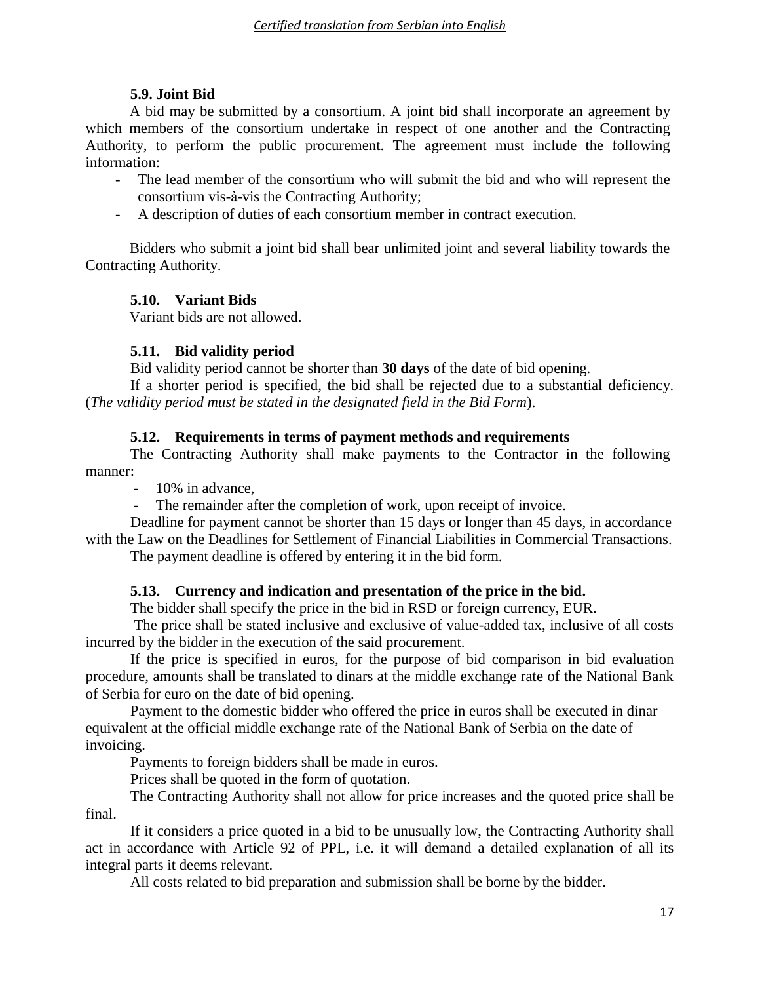# **5.9. Joint Bid**

A bid may be submitted by a consortium. A joint bid shall incorporate an agreement by which members of the consortium undertake in respect of one another and the Contracting Authority, to perform the public procurement. The agreement must include the following information:

- The lead member of the consortium who will submit the bid and who will represent the consortium vis-à-vis the Contracting Authority;
- A description of duties of each consortium member in contract execution.

Bidders who submit a joint bid shall bear unlimited joint and several liability towards the Contracting Authority.

# **5.10. Variant Bids**

Variant bids are not allowed.

# **5.11. Bid validity period**

Bid validity period cannot be shorter than **30 days** of the date of bid opening.

If a shorter period is specified, the bid shall be rejected due to a substantial deficiency. (*The validity period must be stated in the designated field in the Bid Form*).

# **5.12. Requirements in terms of payment methods and requirements**

The Contracting Authority shall make payments to the Contractor in the following manner:

- 10% in advance,

The remainder after the completion of work, upon receipt of invoice.

Deadline for payment cannot be shorter than 15 days or longer than 45 days, in accordance with the Law on the Deadlines for Settlement of Financial Liabilities in Commercial Transactions.

The payment deadline is offered by entering it in the bid form.

# **5.13. Currency and indication and presentation of the price in the bid.**

The bidder shall specify the price in the bid in RSD or foreign currency, EUR.

The price shall be stated inclusive and exclusive of value-added tax, inclusive of all costs incurred by the bidder in the execution of the said procurement.

If the price is specified in euros, for the purpose of bid comparison in bid evaluation procedure, amounts shall be translated to dinars at the middle exchange rate of the National Bank of Serbia for euro on the date of bid opening.

Payment to the domestic bidder who offered the price in euros shall be executed in dinar equivalent at the official middle exchange rate of the National Bank of Serbia on the date of invoicing.

Payments to foreign bidders shall be made in euros.

Prices shall be quoted in the form of quotation.

The Contracting Authority shall not allow for price increases and the quoted price shall be final.

If it considers a price quoted in a bid to be unusually low, the Contracting Authority shall act in accordance with Article 92 of PPL, i.e. it will demand a detailed explanation of all its integral parts it deems relevant.

All costs related to bid preparation and submission shall be borne by the bidder.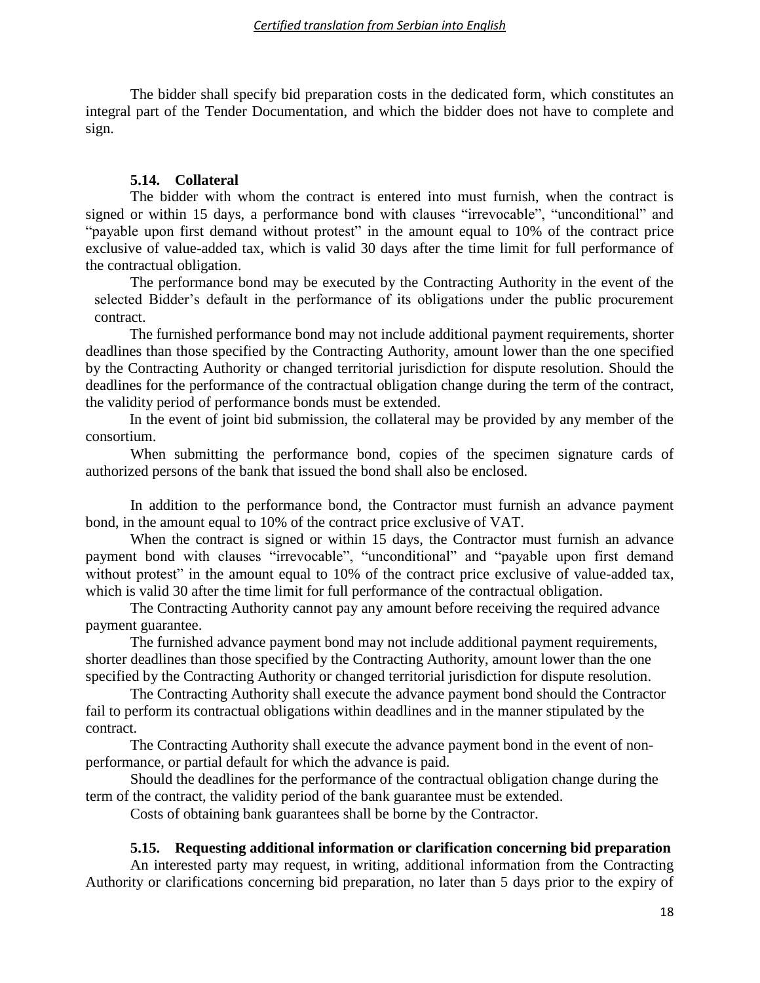The bidder shall specify bid preparation costs in the dedicated form, which constitutes an integral part of the Tender Documentation, and which the bidder does not have to complete and sign.

#### **5.14. Collateral**

The bidder with whom the contract is entered into must furnish, when the contract is signed or within 15 days, a performance bond with clauses "irrevocable", "unconditional" and "payable upon first demand without protest" in the amount equal to 10% of the contract price exclusive of value-added tax, which is valid 30 days after the time limit for full performance of the contractual obligation.

The performance bond may be executed by the Contracting Authority in the event of the selected Bidder's default in the performance of its obligations under the public procurement contract.

The furnished performance bond may not include additional payment requirements, shorter deadlines than those specified by the Contracting Authority, amount lower than the one specified by the Contracting Authority or changed territorial jurisdiction for dispute resolution. Should the deadlines for the performance of the contractual obligation change during the term of the contract, the validity period of performance bonds must be extended.

In the event of joint bid submission, the collateral may be provided by any member of the consortium.

When submitting the performance bond, copies of the specimen signature cards of authorized persons of the bank that issued the bond shall also be enclosed.

In addition to the performance bond, the Contractor must furnish an advance payment bond, in the amount equal to 10% of the contract price exclusive of VAT.

When the contract is signed or within 15 days, the Contractor must furnish an advance payment bond with clauses "irrevocable", "unconditional" and "payable upon first demand without protest" in the amount equal to 10% of the contract price exclusive of value-added tax, which is valid 30 after the time limit for full performance of the contractual obligation.

The Contracting Authority cannot pay any amount before receiving the required advance payment guarantee.

The furnished advance payment bond may not include additional payment requirements, shorter deadlines than those specified by the Contracting Authority, amount lower than the one specified by the Contracting Authority or changed territorial jurisdiction for dispute resolution.

The Contracting Authority shall execute the advance payment bond should the Contractor fail to perform its contractual obligations within deadlines and in the manner stipulated by the contract.

The Contracting Authority shall execute the advance payment bond in the event of nonperformance, or partial default for which the advance is paid.

Should the deadlines for the performance of the contractual obligation change during the term of the contract, the validity period of the bank guarantee must be extended.

Costs of obtaining bank guarantees shall be borne by the Contractor.

#### **5.15. Requesting additional information or clarification concerning bid preparation**

An interested party may request, in writing, additional information from the Contracting Authority or clarifications concerning bid preparation, no later than 5 days prior to the expiry of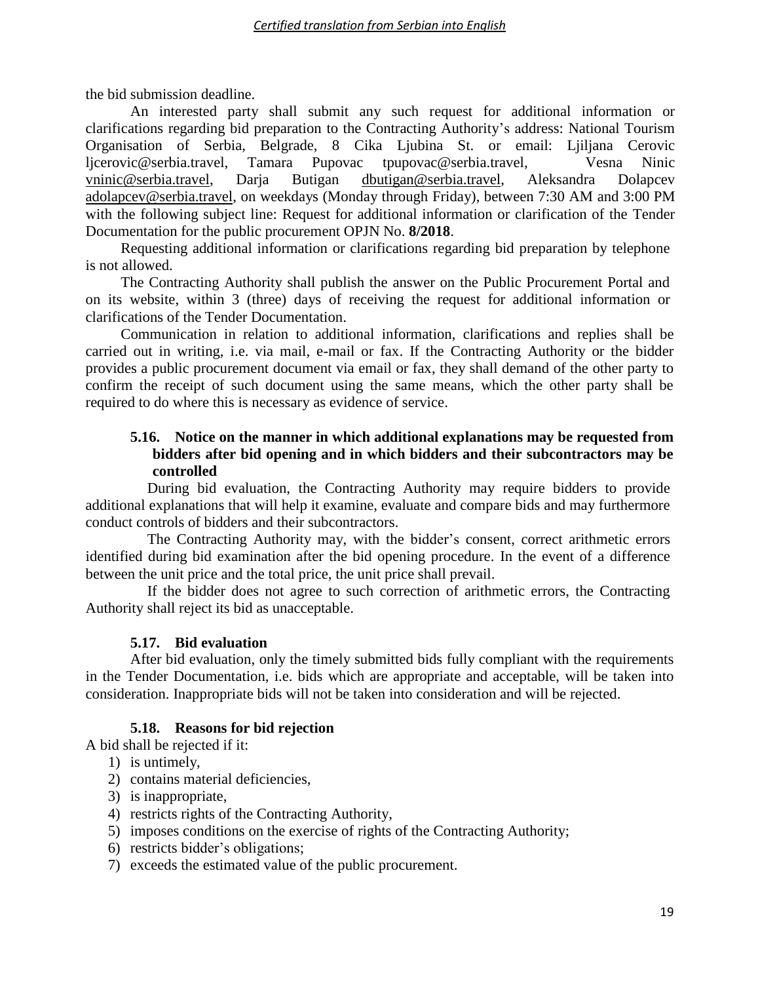the bid submission deadline.

An interested party shall submit any such request for additional information or clarifications regarding bid preparation to the Contracting Authority's address: National Tourism Organisation of Serbia, Belgrade, 8 Cika Ljubina St. or email: Ljiljana Cerovic ljcerovic@serbia.travel, Tamara Pupovac [tpupovac@serbia.travel,](mailto:tpupovac@serbia.travel) Vesna Ninic [vninic@serbia.travel,](mailto:vninic@serbia.travel) Darja Butigan [dbutigan@serbia.travel,](mailto:dbutigan@serbia.travel) Aleksandra Dolapcev [adolapcev@serbia.travel,](mailto:adolapcev@serbia.travel) on weekdays (Monday through Friday), between 7:30 AM and 3:00 PM with the following subject line: Request for additional information or clarification of the Tender Documentation for the public procurement OPJN No. **8/2018**.

Requesting additional information or clarifications regarding bid preparation by telephone is not allowed.

The Contracting Authority shall publish the answer on the Public Procurement Portal and on its website, within 3 (three) days of receiving the request for additional information or clarifications of the Tender Documentation.

Communication in relation to additional information, clarifications and replies shall be carried out in writing, i.e. via mail, e-mail or fax. If the Contracting Authority or the bidder provides a public procurement document via email or fax, they shall demand of the other party to confirm the receipt of such document using the same means, which the other party shall be required to do where this is necessary as evidence of service.

# **5.16. Notice on the manner in which additional explanations may be requested from bidders after bid opening and in which bidders and their subcontractors may be controlled**

During bid evaluation, the Contracting Authority may require bidders to provide additional explanations that will help it examine, evaluate and compare bids and may furthermore conduct controls of bidders and their subcontractors.

The Contracting Authority may, with the bidder's consent, correct arithmetic errors identified during bid examination after the bid opening procedure. In the event of a difference between the unit price and the total price, the unit price shall prevail.

If the bidder does not agree to such correction of arithmetic errors, the Contracting Authority shall reject its bid as unacceptable.

# **5.17. Bid evaluation**

After bid evaluation, only the timely submitted bids fully compliant with the requirements in the Tender Documentation, i.e. bids which are appropriate and acceptable, will be taken into consideration. Inappropriate bids will not be taken into consideration and will be rejected.

### **5.18. Reasons for bid rejection**

A bid shall be rejected if it:

- 1) is untimely,
- 2) contains material deficiencies,
- 3) is inappropriate,
- 4) restricts rights of the Contracting Authority,
- 5) imposes conditions on the exercise of rights of the Contracting Authority;
- 6) restricts bidder's obligations;
- 7) exceeds the estimated value of the public procurement.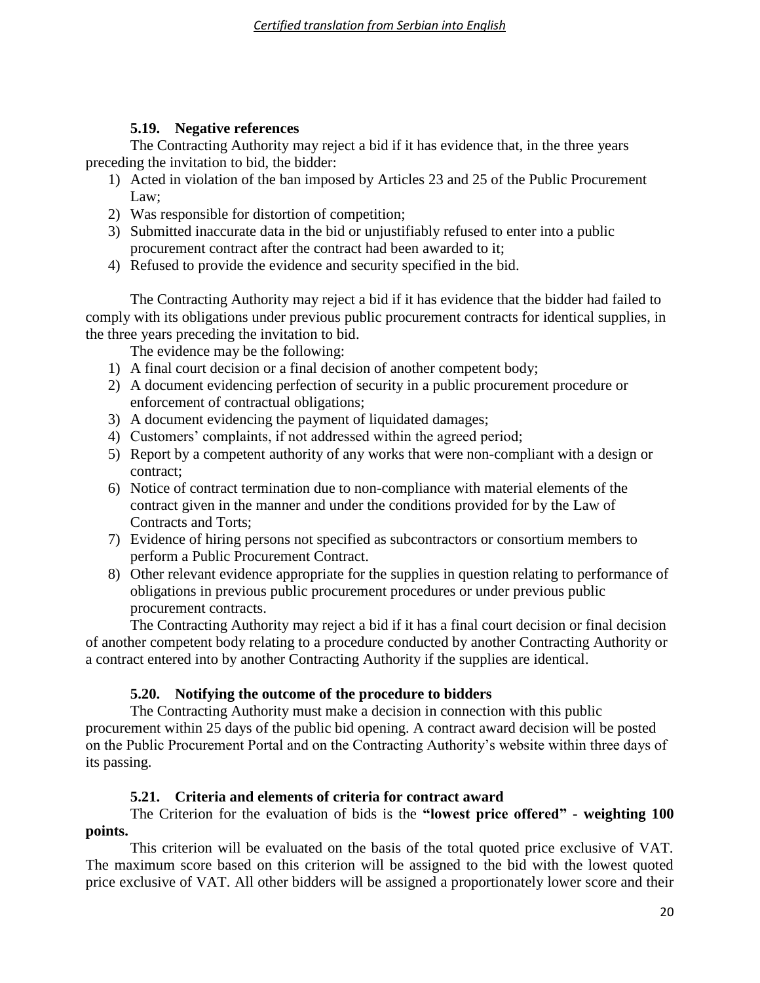# **5.19. Negative references**

The Contracting Authority may reject a bid if it has evidence that, in the three years preceding the invitation to bid, the bidder:

- 1) Acted in violation of the ban imposed by Articles 23 and 25 of the Public Procurement Law;
- 2) Was responsible for distortion of competition;
- 3) Submitted inaccurate data in the bid or unjustifiably refused to enter into a public procurement contract after the contract had been awarded to it;
- 4) Refused to provide the evidence and security specified in the bid.

The Contracting Authority may reject a bid if it has evidence that the bidder had failed to comply with its obligations under previous public procurement contracts for identical supplies, in the three years preceding the invitation to bid.

The evidence may be the following:

- 1) A final court decision or a final decision of another competent body;
- 2) A document evidencing perfection of security in a public procurement procedure or enforcement of contractual obligations;
- 3) A document evidencing the payment of liquidated damages;
- 4) Customers' complaints, if not addressed within the agreed period;
- 5) Report by a competent authority of any works that were non-compliant with a design or contract;
- 6) Notice of contract termination due to non-compliance with material elements of the contract given in the manner and under the conditions provided for by the Law of Contracts and Torts;
- 7) Evidence of hiring persons not specified as subcontractors or consortium members to perform a Public Procurement Contract.
- 8) Other relevant evidence appropriate for the supplies in question relating to performance of obligations in previous public procurement procedures or under previous public procurement contracts.

The Contracting Authority may reject a bid if it has a final court decision or final decision of another competent body relating to a procedure conducted by another Contracting Authority or a contract entered into by another Contracting Authority if the supplies are identical.

# **5.20. Notifying the outcome of the procedure to bidders**

The Contracting Authority must make a decision in connection with this public procurement within 25 days of the public bid opening. A contract award decision will be posted on the Public Procurement Portal and on the Contracting Authority's website within three days of its passing.

# **5.21. Criteria and elements of criteria for contract award**

# The Criterion for the evaluation of bids is the **"lowest price offered" - weighting 100 points.**

This criterion will be evaluated on the basis of the total quoted price exclusive of VAT. The maximum score based on this criterion will be assigned to the bid with the lowest quoted price exclusive of VAT. All other bidders will be assigned a proportionately lower score and their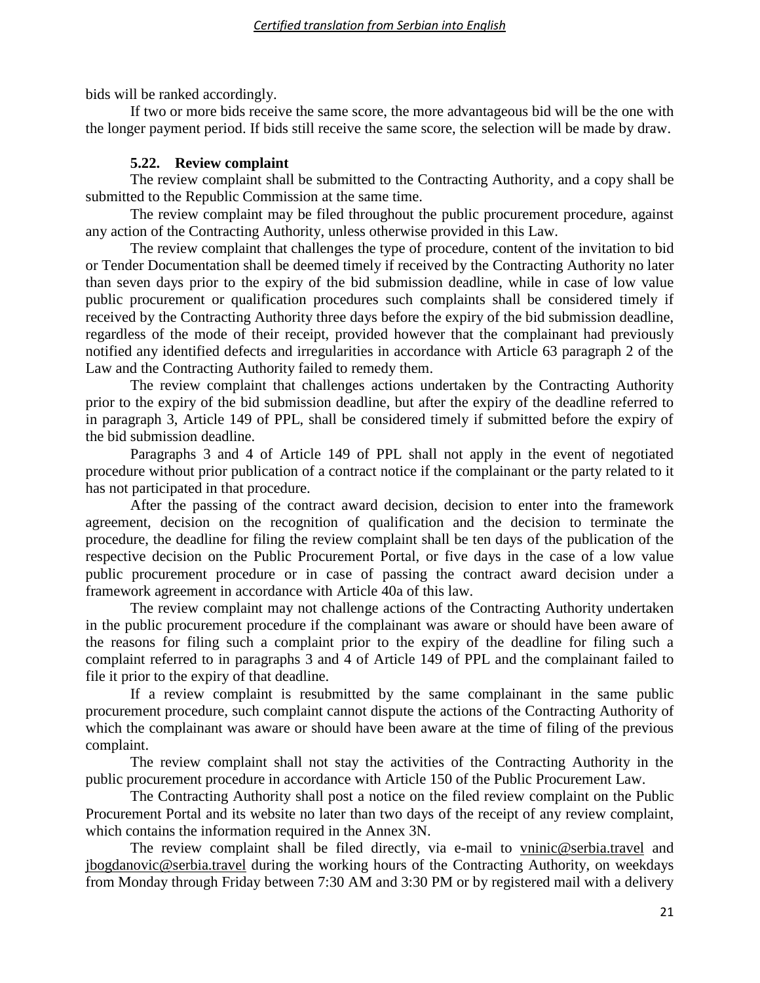bids will be ranked accordingly.

If two or more bids receive the same score, the more advantageous bid will be the one with the longer payment period. If bids still receive the same score, the selection will be made by draw.

# **5.22. Review complaint**

The review complaint shall be submitted to the Contracting Authority, and a copy shall be submitted to the Republic Commission at the same time.

The review complaint may be filed throughout the public procurement procedure, against any action of the Contracting Authority, unless otherwise provided in this Law.

The review complaint that challenges the type of procedure, content of the invitation to bid or Tender Documentation shall be deemed timely if received by the Contracting Authority no later than seven days prior to the expiry of the bid submission deadline, while in case of low value public procurement or qualification procedures such complaints shall be considered timely if received by the Contracting Authority three days before the expiry of the bid submission deadline, regardless of the mode of their receipt, provided however that the complainant had previously notified any identified defects and irregularities in accordance with Article 63 paragraph 2 of the Law and the Contracting Authority failed to remedy them.

The review complaint that challenges actions undertaken by the Contracting Authority prior to the expiry of the bid submission deadline, but after the expiry of the deadline referred to in paragraph 3, Article 149 of PPL, shall be considered timely if submitted before the expiry of the bid submission deadline.

Paragraphs 3 and 4 of Article 149 of PPL shall not apply in the event of negotiated procedure without prior publication of a contract notice if the complainant or the party related to it has not participated in that procedure.

After the passing of the contract award decision, decision to enter into the framework agreement, decision on the recognition of qualification and the decision to terminate the procedure, the deadline for filing the review complaint shall be ten days of the publication of the respective decision on the Public Procurement Portal, or five days in the case of a low value public procurement procedure or in case of passing the contract award decision under a framework agreement in accordance with Article 40a of this law.

The review complaint may not challenge actions of the Contracting Authority undertaken in the public procurement procedure if the complainant was aware or should have been aware of the reasons for filing such a complaint prior to the expiry of the deadline for filing such a complaint referred to in paragraphs 3 and 4 of Article 149 of PPL and the complainant failed to file it prior to the expiry of that deadline.

If a review complaint is resubmitted by the same complainant in the same public procurement procedure, such complaint cannot dispute the actions of the Contracting Authority of which the complainant was aware or should have been aware at the time of filing of the previous complaint.

The review complaint shall not stay the activities of the Contracting Authority in the public procurement procedure in accordance with Article 150 of the Public Procurement Law.

The Contracting Authority shall post a notice on the filed review complaint on the Public Procurement Portal and its website no later than two days of the receipt of any review complaint, which contains the information required in the Annex 3N.

The review complaint shall be filed directly, via e-mail to [vninic@serbia.travel](mailto:vninic@serbia.travel) and [jbogdanovic@serbia.travel](mailto:jbogdanovic@serbia.travel) during the working hours of the Contracting Authority, on weekdays from Monday through Friday between 7:30 AM and 3:30 PM or by registered mail with a delivery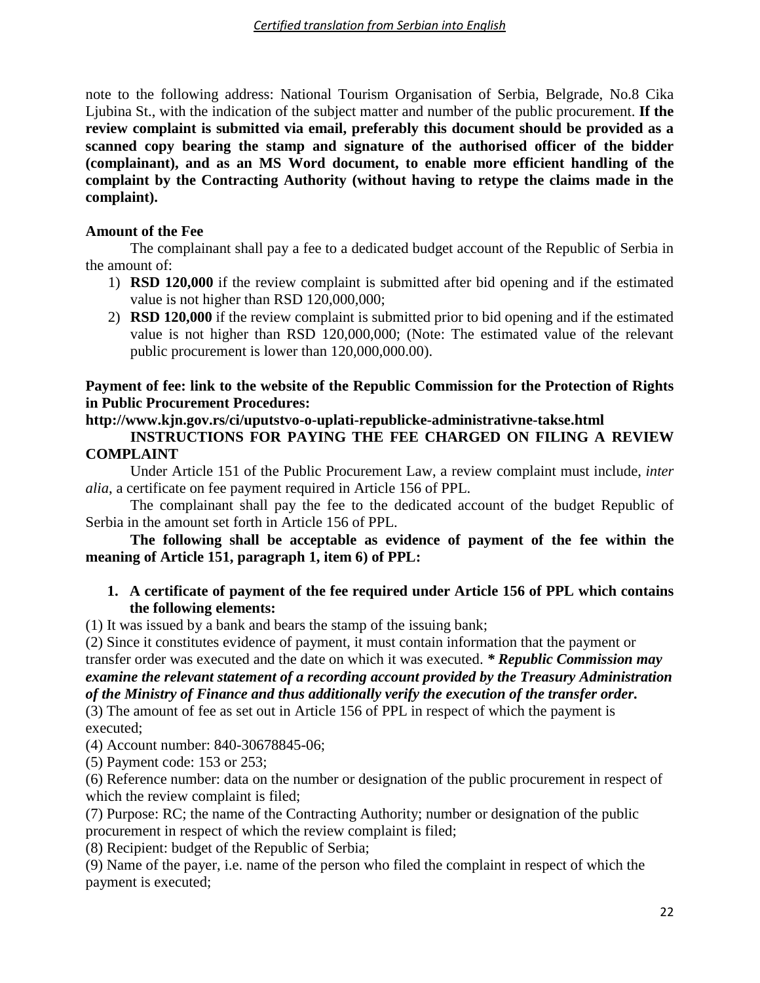note to the following address: National Tourism Organisation of Serbia, Belgrade, No.8 Cika Ljubina St., with the indication of the subject matter and number of the public procurement. **If the review complaint is submitted via email, preferably this document should be provided as a scanned copy bearing the stamp and signature of the authorised officer of the bidder (complainant), and as an MS Word document, to enable more efficient handling of the complaint by the Contracting Authority (without having to retype the claims made in the complaint).**

# **Amount of the Fee**

The complainant shall pay a fee to a dedicated budget account of the Republic of Serbia in the amount of:

- 1) **RSD 120,000** if the review complaint is submitted after bid opening and if the estimated value is not higher than RSD 120,000,000;
- 2) **RSD 120,000** if the review complaint is submitted prior to bid opening and if the estimated value is not higher than RSD 120,000,000; (Note: The estimated value of the relevant public procurement is lower than 120,000,000.00).

# **Payment of fee: link to the website of the Republic Commission for the Protection of Rights in Public Procurement Procedures:**

# **http://www.kjn.gov.rs/ci/uputstvo-o-uplati-republicke-administrativne-takse.html**

**INSTRUCTIONS FOR PAYING THE FEE CHARGED ON FILING A REVIEW COMPLAINT**

Under Article 151 of the Public Procurement Law, a review complaint must include, *inter alia*, a certificate on fee payment required in Article 156 of PPL.

The complainant shall pay the fee to the dedicated account of the budget Republic of Serbia in the amount set forth in Article 156 of PPL.

**The following shall be acceptable as evidence of payment of the fee within the meaning of Article 151, paragraph 1, item 6) of PPL:**

# **1. A certificate of payment of the fee required under Article 156 of PPL which contains the following elements:**

(1) It was issued by a bank and bears the stamp of the issuing bank;

(2) Since it constitutes evidence of payment, it must contain information that the payment or transfer order was executed and the date on which it was executed. *\* Republic Commission may examine the relevant statement of a recording account provided by the Treasury Administration of the Ministry of Finance and thus additionally verify the execution of the transfer order.*

(3) The amount of fee as set out in Article 156 of PPL in respect of which the payment is executed;

(4) Account number: 840-30678845-06;

(5) Payment code: 153 or 253;

(6) Reference number: data on the number or designation of the public procurement in respect of which the review complaint is filed;

(7) Purpose: RC; the name of the Contracting Authority; number or designation of the public procurement in respect of which the review complaint is filed;

(8) Recipient: budget of the Republic of Serbia;

(9) Name of the payer, i.e. name of the person who filed the complaint in respect of which the payment is executed;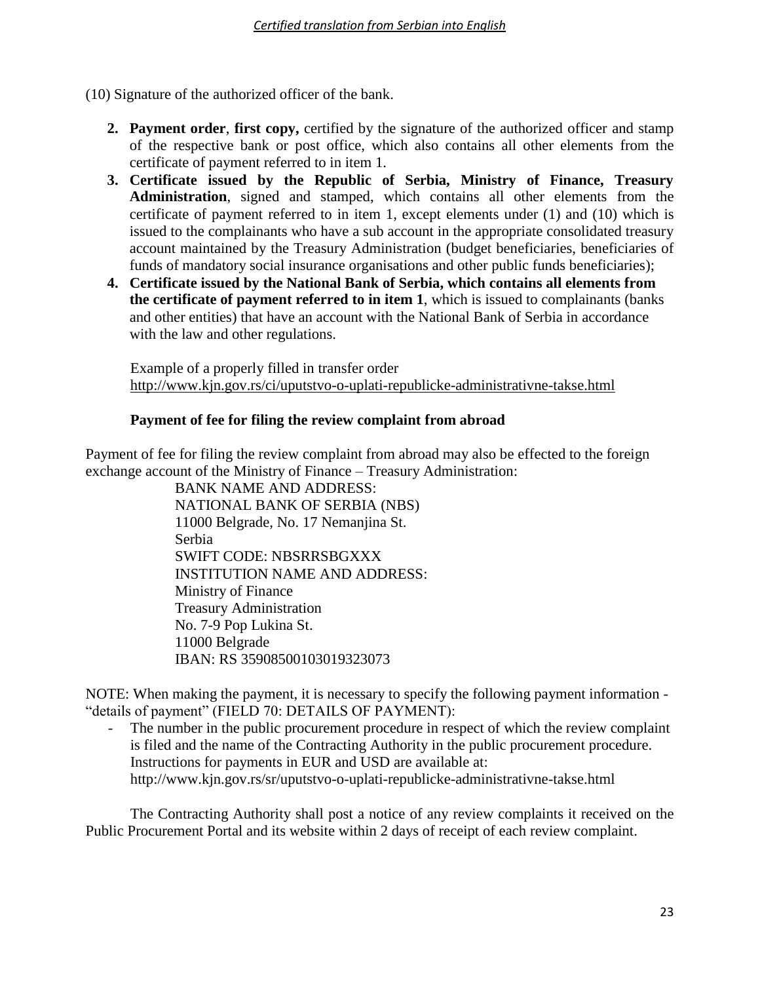(10) Signature of the authorized officer of the bank.

- **2. Payment order**, **first copy,** certified by the signature of the authorized officer and stamp of the respective bank or post office, which also contains all other elements from the certificate of payment referred to in item 1.
- **3. Certificate issued by the Republic of Serbia, Ministry of Finance, Treasury Administration**, signed and stamped, which contains all other elements from the certificate of payment referred to in item 1, except elements under (1) and (10) which is issued to the complainants who have a sub account in the appropriate consolidated treasury account maintained by the Treasury Administration (budget beneficiaries, beneficiaries of funds of mandatory social insurance organisations and other public funds beneficiaries);
- **4. Certificate issued by the National Bank of Serbia, which contains all elements from the certificate of payment referred to in item 1**, which is issued to complainants (banks and other entities) that have an account with the National Bank of Serbia in accordance with the law and other regulations.

Example of a properly filled in transfer order <http://www.kjn.gov.rs/ci/uputstvo-o-uplati-republicke-administrativne-takse.html>

# **Payment of fee for filing the review complaint from abroad**

Payment of fee for filing the review complaint from abroad may also be effected to the foreign exchange account of the Ministry of Finance – Treasury Administration:

BANK NAME AND ADDRESS: NATIONAL BANK OF SERBIA (NBS) 11000 Belgrade, No. 17 Nemanjina St. Serbia SWIFT CODE: NBSRRSBGXXX INSTITUTION NAME AND ADDRESS: Ministry of Finance Treasury Administration No. 7-9 Pop Lukina St. 11000 Belgrade IBAN: RS 35908500103019323073

NOTE: When making the payment, it is necessary to specify the following payment information - "details of payment" (FIELD 70: DETAILS OF PAYMENT):

The number in the public procurement procedure in respect of which the review complaint is filed and the name of the Contracting Authority in the public procurement procedure. Instructions for payments in EUR and USD are available at: http://www.kjn.gov.rs/sr/uputstvo-o-uplati-republicke-administrativne-takse.html

The Contracting Authority shall post a notice of any review complaints it received on the Public Procurement Portal and its website within 2 days of receipt of each review complaint.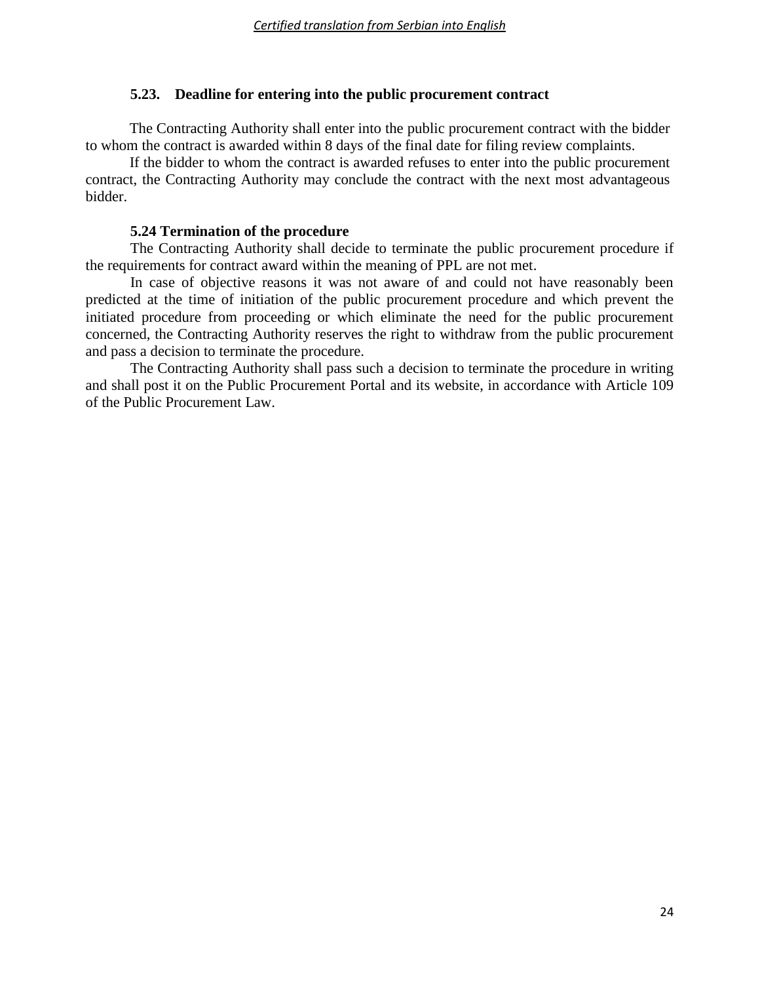# **5.23. Deadline for entering into the public procurement contract**

The Contracting Authority shall enter into the public procurement contract with the bidder to whom the contract is awarded within 8 days of the final date for filing review complaints.

If the bidder to whom the contract is awarded refuses to enter into the public procurement contract, the Contracting Authority may conclude the contract with the next most advantageous bidder.

### **5.24 Termination of the procedure**

The Contracting Authority shall decide to terminate the public procurement procedure if the requirements for contract award within the meaning of PPL are not met.

In case of objective reasons it was not aware of and could not have reasonably been predicted at the time of initiation of the public procurement procedure and which prevent the initiated procedure from proceeding or which eliminate the need for the public procurement concerned, the Contracting Authority reserves the right to withdraw from the public procurement and pass a decision to terminate the procedure.

The Contracting Authority shall pass such a decision to terminate the procedure in writing and shall post it on the Public Procurement Portal and its website, in accordance with Article 109 of the Public Procurement Law.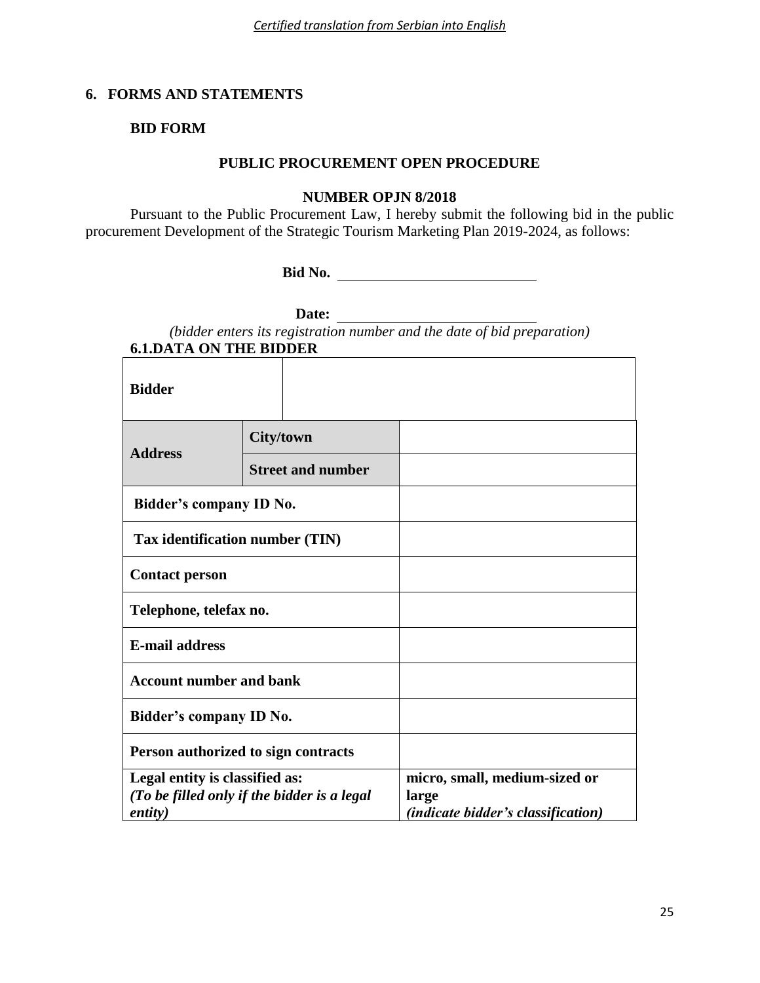# **6. FORMS AND STATEMENTS**

# **BID FORM**

# **PUBLIC PROCUREMENT OPEN PROCEDURE**

#### **NUMBER OPJN 8/2018**

Pursuant to the Public Procurement Law, I hereby submit the following bid in the public procurement Development of the Strategic Tourism Marketing Plan 2019-2024, as follows:

**Bid No.**

**Date:**

| (bidder enters its registration number and the date of bid preparation) |  |
|-------------------------------------------------------------------------|--|
| <b>6.1.DATA ON THE BIDDER</b>                                           |  |

| <b>Bidder</b>                                                                                    |                          |                                                                                     |
|--------------------------------------------------------------------------------------------------|--------------------------|-------------------------------------------------------------------------------------|
| <b>Address</b>                                                                                   | <b>City/town</b>         |                                                                                     |
|                                                                                                  | <b>Street and number</b> |                                                                                     |
| Bidder's company ID No.                                                                          |                          |                                                                                     |
| Tax identification number (TIN)                                                                  |                          |                                                                                     |
| <b>Contact person</b>                                                                            |                          |                                                                                     |
| Telephone, telefax no.                                                                           |                          |                                                                                     |
| <b>E-mail address</b>                                                                            |                          |                                                                                     |
| <b>Account number and bank</b>                                                                   |                          |                                                                                     |
| Bidder's company ID No.                                                                          |                          |                                                                                     |
| Person authorized to sign contracts                                                              |                          |                                                                                     |
| Legal entity is classified as:<br>(To be filled only if the bidder is a legal<br><i>entity</i> ) |                          | micro, small, medium-sized or<br>large<br><i>(indicate bidder's classification)</i> |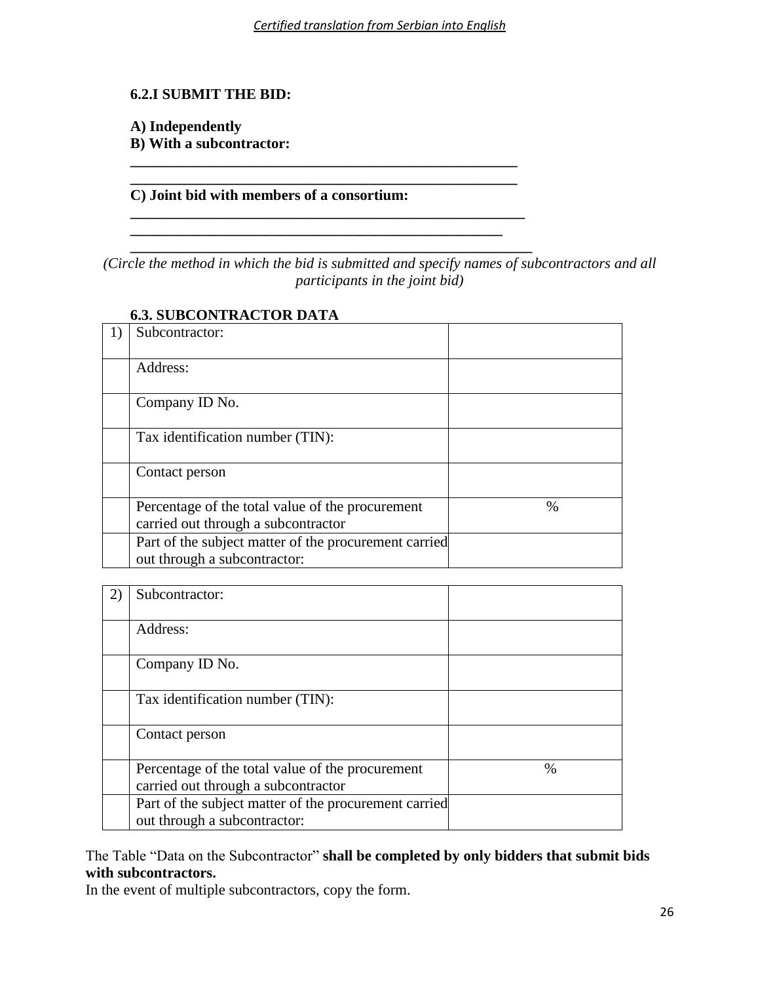# **6.2.I SUBMIT THE BID:**

# **A) Independently**

**B) With a subcontractor: \_\_\_\_\_\_\_\_\_\_\_\_\_\_\_\_\_\_\_\_\_\_\_\_\_\_\_\_\_\_\_\_\_\_\_\_\_\_\_\_\_\_\_\_\_\_\_\_\_\_\_\_**

# **C) Joint bid with members of a consortium:**

**\_\_\_\_\_\_\_\_\_\_\_\_\_\_\_\_\_\_\_\_\_\_\_\_\_\_\_\_\_\_\_\_\_\_\_\_\_\_\_\_\_\_\_\_\_\_\_\_\_\_\_\_**

**\_\_\_\_\_\_\_\_\_\_\_\_\_\_\_\_\_\_\_\_\_\_\_\_\_\_\_\_\_\_\_\_\_\_\_\_\_\_\_\_\_\_\_\_\_\_\_\_\_\_\_\_\_ \_\_\_\_\_\_\_\_\_\_\_\_\_\_\_\_\_\_\_\_\_\_\_\_\_\_\_\_\_\_\_\_\_\_\_\_\_\_\_\_\_\_\_\_\_\_\_\_\_\_**

**\_\_\_\_\_\_\_\_\_\_\_\_\_\_\_\_\_\_\_\_\_\_\_\_\_\_\_\_\_\_\_\_\_\_\_\_\_\_\_\_\_\_\_\_\_\_\_\_\_\_\_\_\_\_** *(Circle the method in which the bid is submitted and specify names of subcontractors and all participants in the joint bid)*

| Subcontractor:                                                                          |      |
|-----------------------------------------------------------------------------------------|------|
| Address:                                                                                |      |
| Company ID No.                                                                          |      |
| Tax identification number (TIN):                                                        |      |
| Contact person                                                                          |      |
| Percentage of the total value of the procurement<br>carried out through a subcontractor | $\%$ |
| Part of the subject matter of the procurement carried<br>out through a subcontractor:   |      |

# **6.3. SUBCONTRACTOR DATA**

| Subcontractor:                                                                          |      |
|-----------------------------------------------------------------------------------------|------|
| Address:                                                                                |      |
| Company ID No.                                                                          |      |
| Tax identification number (TIN):                                                        |      |
| Contact person                                                                          |      |
| Percentage of the total value of the procurement<br>carried out through a subcontractor | $\%$ |
| Part of the subject matter of the procurement carried<br>out through a subcontractor:   |      |

The Table "Data on the Subcontractor" **shall be completed by only bidders that submit bids with subcontractors.**

In the event of multiple subcontractors, copy the form.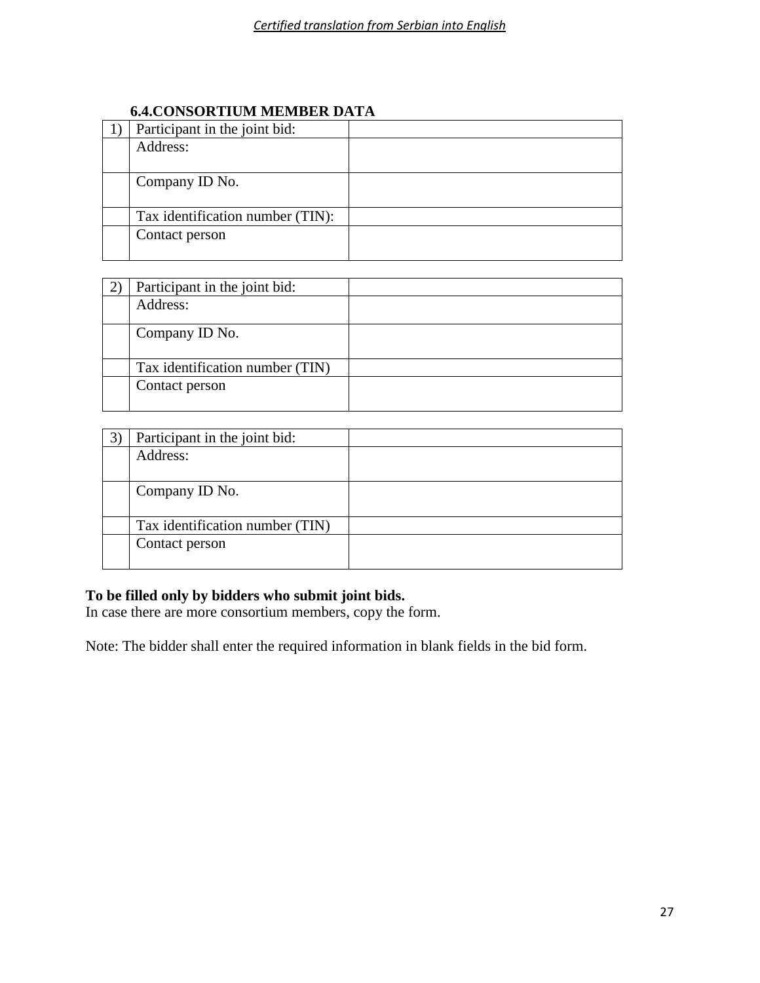# **6.4.CONSORTIUM MEMBER DATA**

| Participant in the joint bid:    |  |
|----------------------------------|--|
| Address:                         |  |
|                                  |  |
| Company ID No.                   |  |
|                                  |  |
| Tax identification number (TIN): |  |
| Contact person                   |  |
|                                  |  |

| Participant in the joint bid:   |  |
|---------------------------------|--|
| Address:                        |  |
| Company ID No.                  |  |
| Tax identification number (TIN) |  |
| Contact person                  |  |

| Participant in the joint bid:   |  |
|---------------------------------|--|
| Address:                        |  |
|                                 |  |
| Company ID No.                  |  |
|                                 |  |
| Tax identification number (TIN) |  |
| Contact person                  |  |
|                                 |  |

# **To be filled only by bidders who submit joint bids.**

In case there are more consortium members, copy the form.

Note: The bidder shall enter the required information in blank fields in the bid form.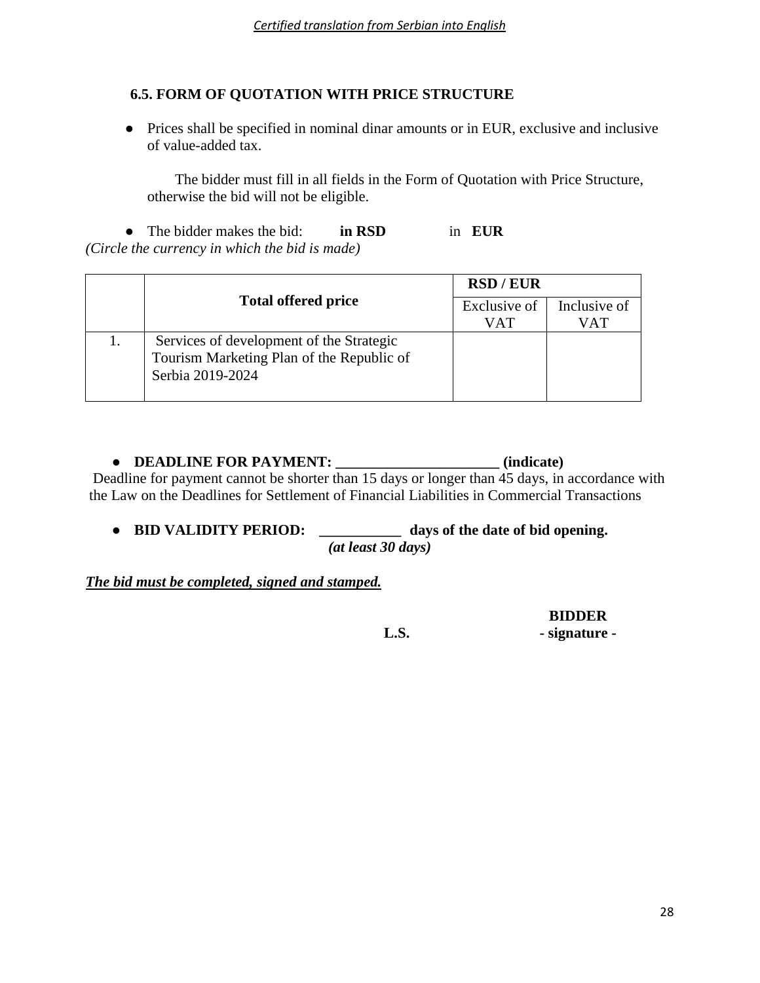# **6.5. FORM OF QUOTATION WITH PRICE STRUCTURE**

● Prices shall be specified in nominal dinar amounts or in EUR, exclusive and inclusive of value-added tax.

The bidder must fill in all fields in the Form of Quotation with Price Structure, otherwise the bid will not be eligible.

● The bidder makes the bid: **in RSD** in **EUR** *(Circle the currency in which the bid is made)*

|  | <b>Total offered price</b>                                                                                | <b>RSD/EUR</b> |              |
|--|-----------------------------------------------------------------------------------------------------------|----------------|--------------|
|  |                                                                                                           | Exclusive of   | Inclusive of |
|  |                                                                                                           | VAT            | VAT          |
|  | Services of development of the Strategic<br>Tourism Marketing Plan of the Republic of<br>Serbia 2019-2024 |                |              |

# ● **DEADLINE FOR PAYMENT: \_\_\_\_\_\_\_\_\_\_\_\_\_\_\_\_\_\_\_\_\_\_ (indicate)**

Deadline for payment cannot be shorter than 15 days or longer than 45 days, in accordance with the Law on the Deadlines for Settlement of Financial Liabilities in Commercial Transactions

● **BID VALIDITY PERIOD:** *\_\_\_\_\_\_\_\_\_\_\_* **days of the date of bid opening.** *(at least 30 days)*

# *The bid must be completed, signed and stamped.*

**BIDDER**

**L.S. - signature -**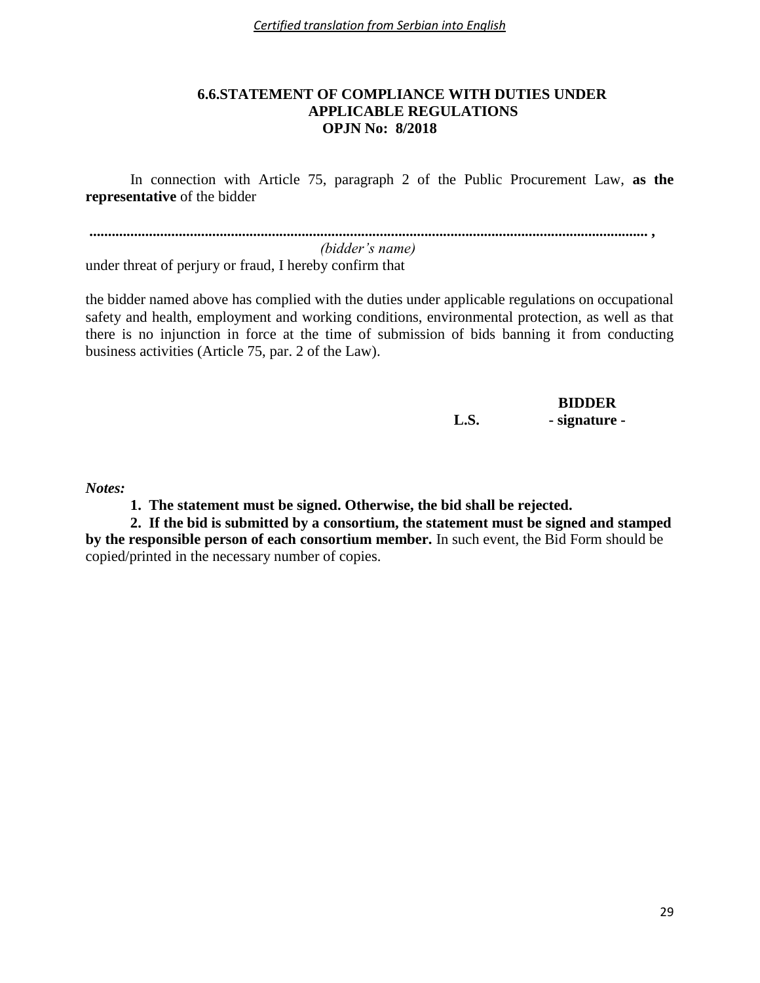*Certified translation from Serbian into English*

# **6.6.STATEMENT OF COMPLIANCE WITH DUTIES UNDER APPLICABLE REGULATIONS OPJN No: 8/2018**

In connection with Article 75, paragraph 2 of the Public Procurement Law, **as the representative** of the bidder

**...................................................................................................................................................... ,**   *(bidder's name)*

under threat of perjury or fraud, I hereby confirm that

the bidder named above has complied with the duties under applicable regulations on occupational safety and health, employment and working conditions, environmental protection, as well as that there is no injunction in force at the time of submission of bids banning it from conducting business activities (Article 75, par. 2 of the Law).

# **BIDDER L.S. - signature -**

*Notes:*

**1. The statement must be signed. Otherwise, the bid shall be rejected.**

**2. If the bid is submitted by a consortium, the statement must be signed and stamped by the responsible person of each consortium member.** In such event, the Bid Form should be copied/printed in the necessary number of copies.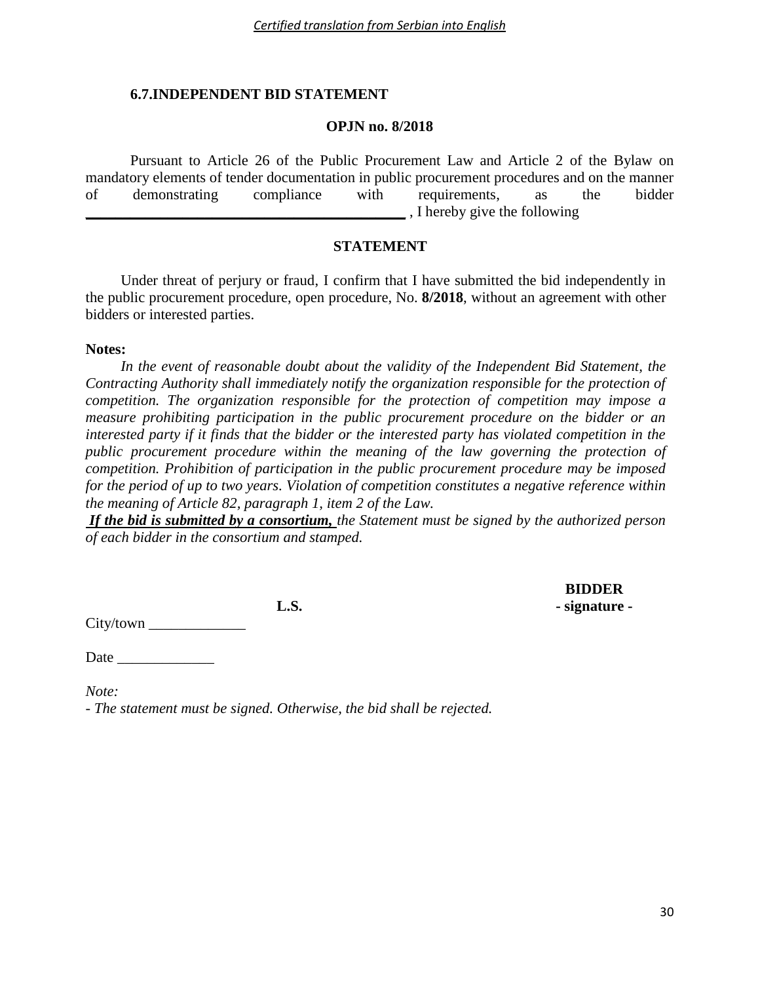# **6.7.INDEPENDENT BID STATEMENT**

#### **OPJN no. 8/2018**

Pursuant to Article 26 of the Public Procurement Law and Article 2 of the Bylaw on mandatory elements of tender documentation in public procurement procedures and on the manner of demonstrating compliance with requirements, as the bidder \_\_\_\_\_\_\_\_\_\_\_\_\_\_\_\_\_\_\_\_\_\_\_\_\_\_\_\_\_\_\_\_\_\_\_\_\_\_\_\_\_\_\_ , I hereby give the following

# **STATEMENT**

Under threat of perjury or fraud, I confirm that I have submitted the bid independently in the public procurement procedure, open procedure, No. **8/2018**, without an agreement with other bidders or interested parties.

#### **Notes:**

*In the event of reasonable doubt about the validity of the Independent Bid Statement, the Contracting Authority shall immediately notify the organization responsible for the protection of competition. The organization responsible for the protection of competition may impose a measure prohibiting participation in the public procurement procedure on the bidder or an interested party if it finds that the bidder or the interested party has violated competition in the public procurement procedure within the meaning of the law governing the protection of competition. Prohibition of participation in the public procurement procedure may be imposed for the period of up to two years. Violation of competition constitutes a negative reference within the meaning of Article 82, paragraph 1, item 2 of the Law.* 

*If the bid is submitted by a consortium, the Statement must be signed by the authorized person of each bidder in the consortium and stamped.*

City/town

Date  $\Box$ 

*Note: - The statement must be signed. Otherwise, the bid shall be rejected.*

**BIDDER L.S. - signature -**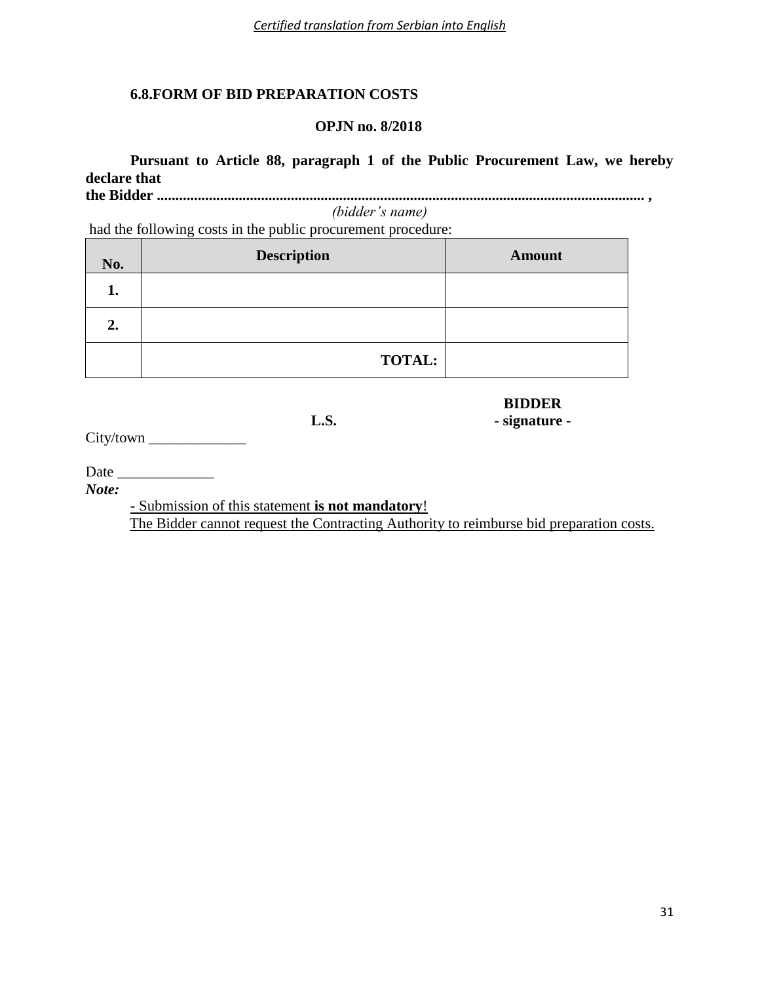# **6.8.FORM OF BID PREPARATION COSTS**

# **OPJN no. 8/2018**

**Pursuant to Article 88, paragraph 1 of the Public Procurement Law, we hereby declare that** 

**the Bidder ................................................................................................................................... ,**  *(bidder's name)*

had the following costs in the public procurement procedure:

| No. | <b>Description</b> | <b>Amount</b> |
|-----|--------------------|---------------|
| 1.  |                    |               |
| 2.  |                    |               |
|     | <b>TOTAL:</b>      |               |

 **L.S. - signature -**

City/town

Date \_\_\_\_\_\_\_\_\_\_\_\_\_

*Note:* 

**-** Submission of this statement **is not mandatory**!

The Bidder cannot request the Contracting Authority to reimburse bid preparation costs.

**BIDDER**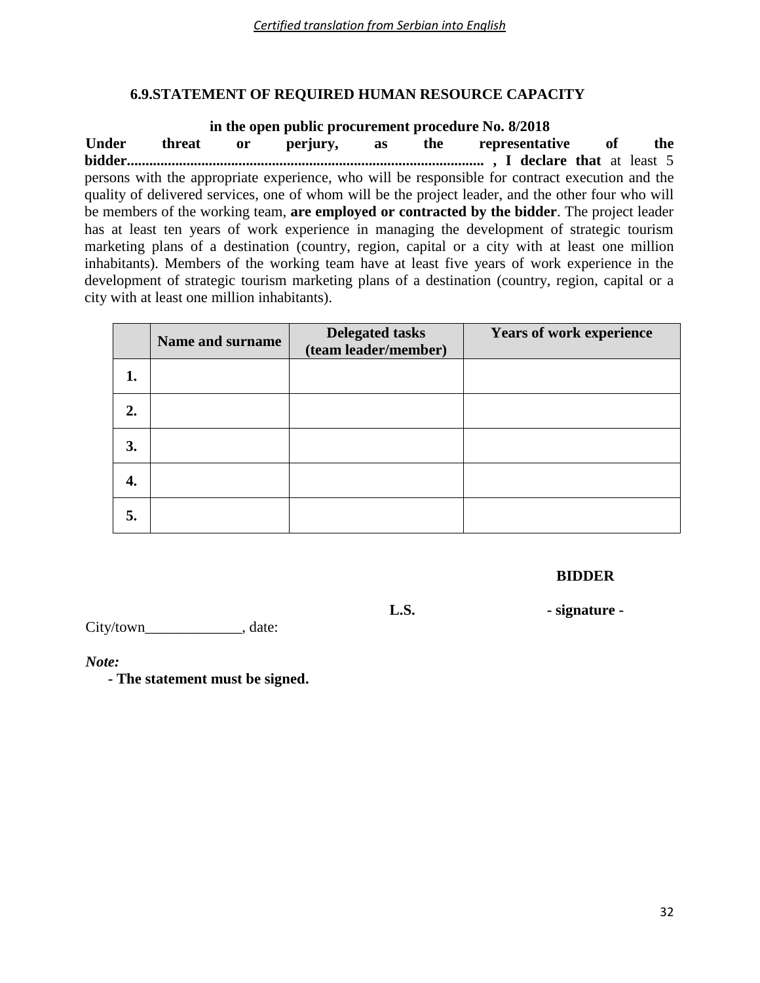# **6.9.STATEMENT OF REQUIRED HUMAN RESOURCE CAPACITY**

**in the open public procurement procedure No. 8/2018 Under threat or perjury, as the representative of the bidder................................................................................................ , I declare that** at least 5 persons with the appropriate experience, who will be responsible for contract execution and the quality of delivered services, one of whom will be the project leader, and the other four who will be members of the working team, **are employed or contracted by the bidder**. The project leader has at least ten years of work experience in managing the development of strategic tourism marketing plans of a destination (country, region, capital or a city with at least one million inhabitants). Members of the working team have at least five years of work experience in the development of strategic tourism marketing plans of a destination (country, region, capital or a city with at least one million inhabitants).

|    | <b>Name and surname</b> | <b>Delegated tasks</b><br>(team leader/member) | <b>Years of work experience</b> |
|----|-------------------------|------------------------------------------------|---------------------------------|
|    |                         |                                                |                                 |
| 2. |                         |                                                |                                 |
| 3. |                         |                                                |                                 |
|    |                         |                                                |                                 |
| 5. |                         |                                                |                                 |

**BIDDER**

 **L.S. - signature -**

City/town\_\_\_\_\_\_\_\_\_\_\_\_\_\_\_\_\_\_\_\_, date:

*Note:*

**- The statement must be signed.**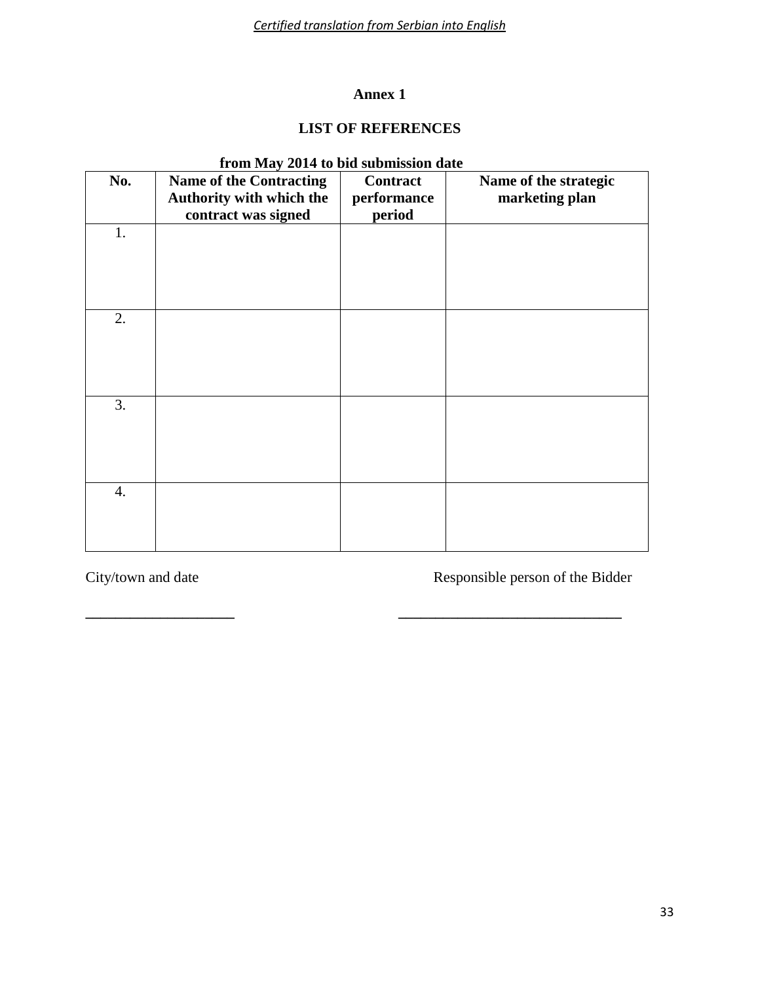*Certified translation from Serbian into English*

# **Annex 1**

# **LIST OF REFERENCES**

| Tront iviay 2014 to bid submission date |                                                                                   |                                   |                                         |  |  |
|-----------------------------------------|-----------------------------------------------------------------------------------|-----------------------------------|-----------------------------------------|--|--|
| No.                                     | <b>Name of the Contracting</b><br>Authority with which the<br>contract was signed | Contract<br>performance<br>period | Name of the strategic<br>marketing plan |  |  |
| 1.                                      |                                                                                   |                                   |                                         |  |  |
| 2.                                      |                                                                                   |                                   |                                         |  |  |
| 3.                                      |                                                                                   |                                   |                                         |  |  |
| 4.                                      |                                                                                   |                                   |                                         |  |  |

**\_\_\_\_\_\_\_\_\_\_\_\_\_\_\_\_\_\_\_\_ \_\_\_\_\_\_\_\_\_\_\_\_\_\_\_\_\_\_\_\_\_\_\_\_\_\_\_\_\_\_**

# **from May 2014 to bid submission date**

City/town and date Responsible person of the Bidder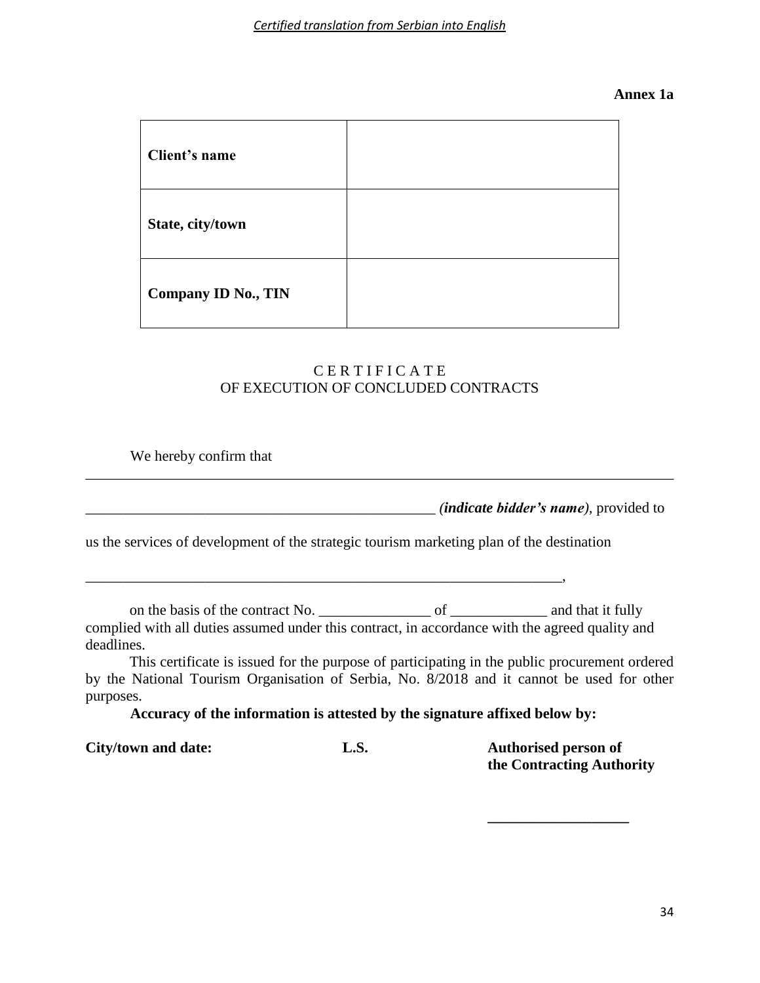#### **Annex 1a**

| Client's name       |  |
|---------------------|--|
| State, city/town    |  |
| Company ID No., TIN |  |



### We hereby confirm that

\_\_\_\_\_\_\_\_\_\_\_\_\_\_\_\_\_\_\_\_\_\_\_\_\_\_\_\_\_\_\_\_\_\_\_\_\_\_\_\_\_\_\_\_\_\_\_ *(indicate bidder's name),* provided to

\_\_\_\_\_\_\_\_\_\_\_\_\_\_\_\_\_\_\_\_\_\_\_\_\_\_\_\_\_\_\_\_\_\_\_\_\_\_\_\_\_\_\_\_\_\_\_\_\_\_\_\_\_\_\_\_\_\_\_\_\_\_\_\_\_\_\_\_\_\_\_\_\_\_\_\_\_\_\_

us the services of development of the strategic tourism marketing plan of the destination

\_\_\_\_\_\_\_\_\_\_\_\_\_\_\_\_\_\_\_\_\_\_\_\_\_\_\_\_\_\_\_\_\_\_\_\_\_\_\_\_\_\_\_\_\_\_\_\_\_\_\_\_\_\_\_\_\_\_\_\_\_\_\_\_,

on the basis of the contract No. \_\_\_\_\_\_\_\_\_\_\_\_\_\_\_ of \_\_\_\_\_\_\_\_\_\_\_\_\_ and that it fully complied with all duties assumed under this contract, in accordance with the agreed quality and

deadlines.

This certificate is issued for the purpose of participating in the public procurement ordered by the National Tourism Organisation of Serbia, No. 8/2018 and it cannot be used for other purposes.

**Accuracy of the information is attested by the signature affixed below by:**

**City/town and date: L.S. Authorised person of the Contracting Authority**

**\_\_\_\_\_\_\_\_\_\_\_\_\_\_\_\_\_\_\_**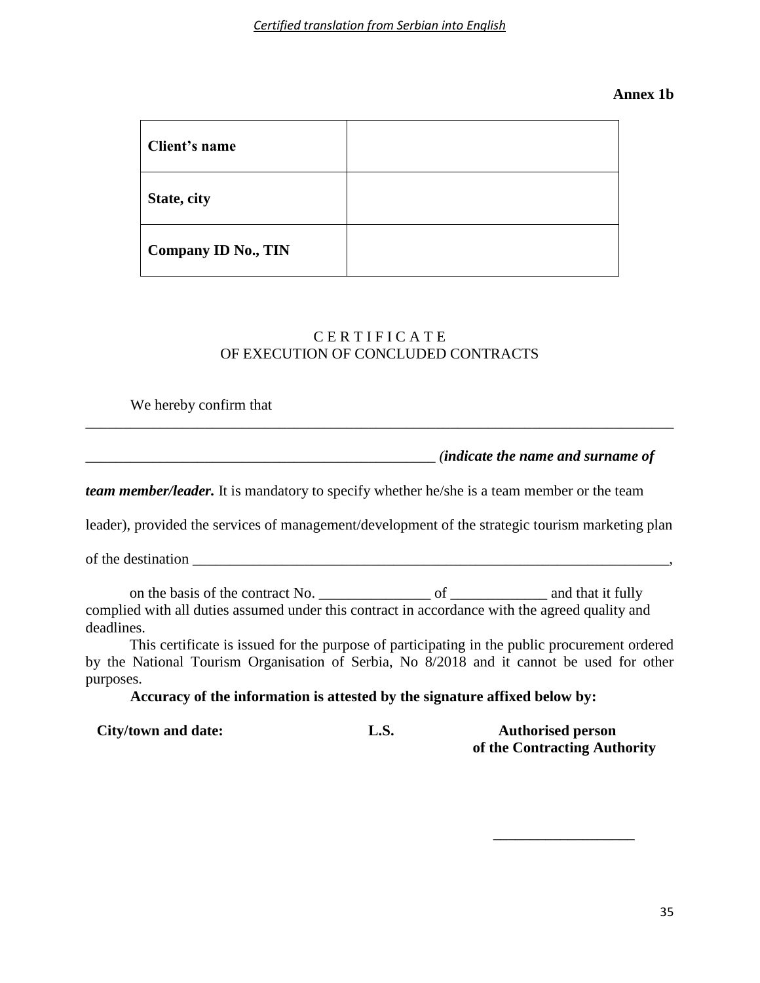### **Annex 1b**

| Client's name              |  |
|----------------------------|--|
| State, city                |  |
| <b>Company ID No., TIN</b> |  |

# C E R T I F I C A T E OF EXECUTION OF CONCLUDED CONTRACTS

\_\_\_\_\_\_\_\_\_\_\_\_\_\_\_\_\_\_\_\_\_\_\_\_\_\_\_\_\_\_\_\_\_\_\_\_\_\_\_\_\_\_\_\_\_\_\_\_\_\_\_\_\_\_\_\_\_\_\_\_\_\_\_\_\_\_\_\_\_\_\_\_\_\_\_\_\_\_\_

# We hereby confirm that

\_\_\_\_\_\_\_\_\_\_\_\_\_\_\_\_\_\_\_\_\_\_\_\_\_\_\_\_\_\_\_\_\_\_\_\_\_\_\_\_\_\_\_\_\_\_\_ *(indicate the name and surname of* 

*team member/leader.* It is mandatory to specify whether he/she is a team member or the team

leader), provided the services of management/development of the strategic tourism marketing plan

of the destination  $\mathbf{r}$ 

on the basis of the contract No. \_\_\_\_\_\_\_\_\_\_\_\_\_\_\_ of \_\_\_\_\_\_\_\_\_\_\_\_\_ and that it fully complied with all duties assumed under this contract in accordance with the agreed quality and deadlines.

This certificate is issued for the purpose of participating in the public procurement ordered by the National Tourism Organisation of Serbia, No 8/2018 and it cannot be used for other purposes.

**Accuracy of the information is attested by the signature affixed below by:**

| City/town and date: | L.S. | <b>Authorised person</b>     |  |  |
|---------------------|------|------------------------------|--|--|
|                     |      | of the Contracting Authority |  |  |

 **\_\_\_\_\_\_\_\_\_\_\_\_\_\_\_\_\_\_\_**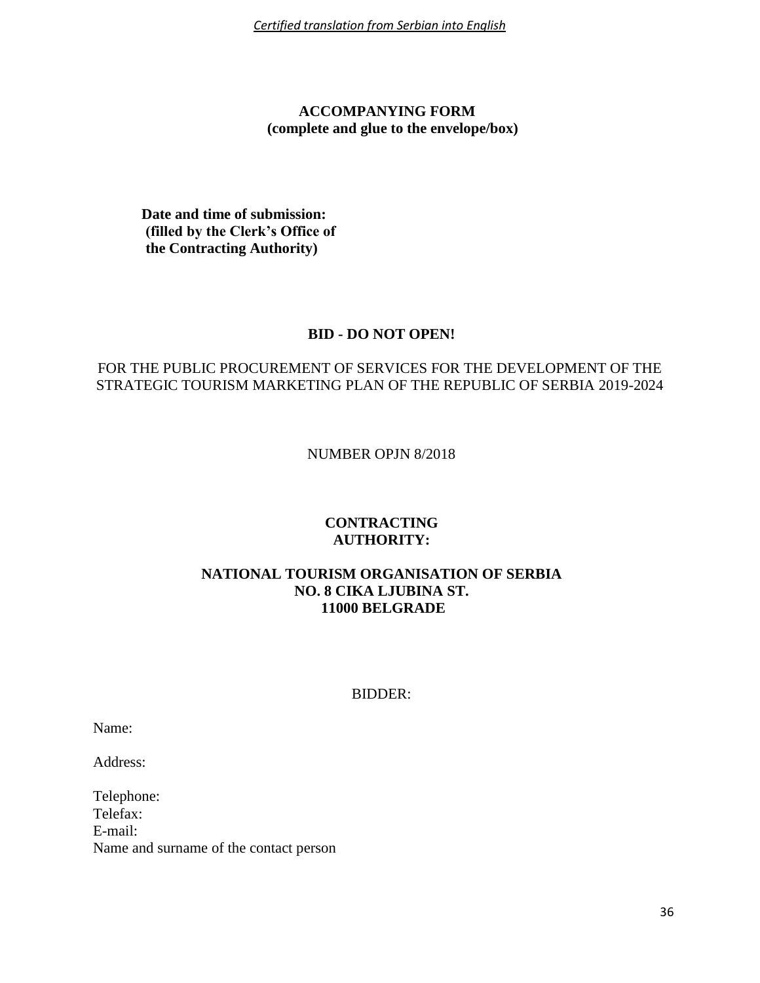*Certified translation from Serbian into English*

# **ACCOMPANYING FORM (complete and glue to the envelope/box)**

**Date and time of submission: (filled by the Clerk's Office of the Contracting Authority)**

### **BID - DO NOT OPEN!**

# FOR THE PUBLIC PROCUREMENT OF SERVICES FOR THE DEVELOPMENT OF THE STRATEGIC TOURISM MARKETING PLAN OF THE REPUBLIC OF SERBIA 2019-2024

NUMBER OPJN 8/2018

# **CONTRACTING AUTHORITY:**

### **NATIONAL TOURISM ORGANISATION OF SERBIA NO. 8 CIKA LJUBINA ST. 11000 BELGRADE**

### BIDDER:

Name:

Address:

Telephone: Telefax: E-mail: Name and surname of the contact person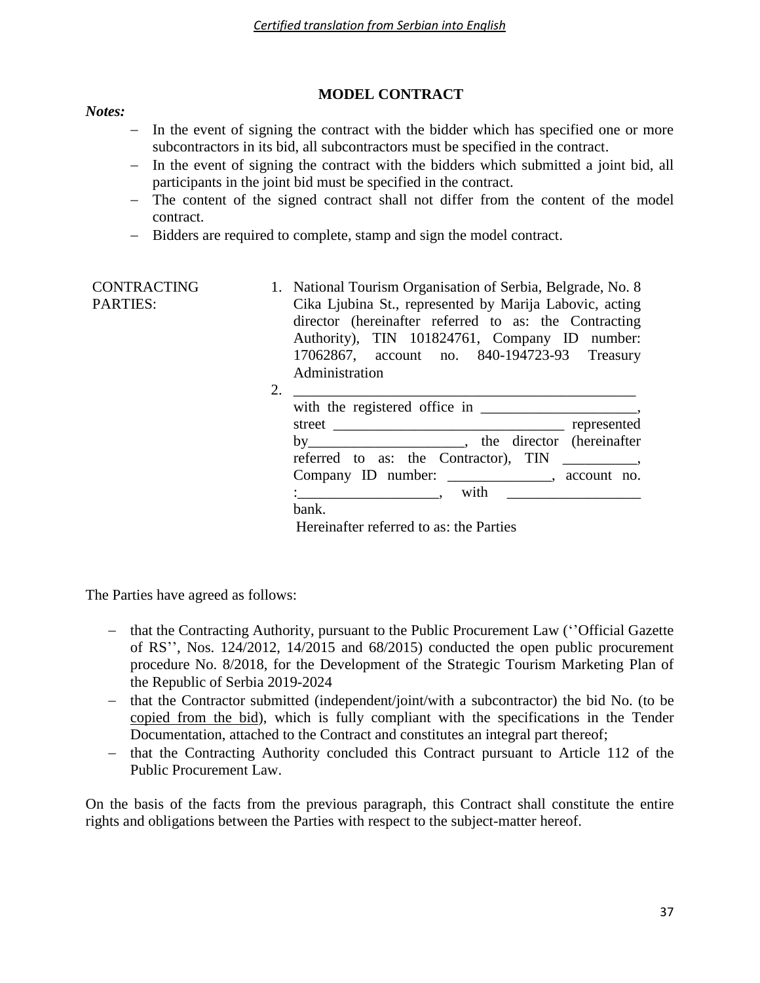# **MODEL CONTRACT**

#### *Notes:*

- In the event of signing the contract with the bidder which has specified one or more subcontractors in its bid, all subcontractors must be specified in the contract.
- $-$  In the event of signing the contract with the bidders which submitted a joint bid, all participants in the joint bid must be specified in the contract.
- The content of the signed contract shall not differ from the content of the model contract.
- Bidders are required to complete, stamp and sign the model contract.

| <b>CONTRACTING</b> | 1. National Tourism Organisation of Serbia, Belgrade, No. 8 |  |  |
|--------------------|-------------------------------------------------------------|--|--|
| <b>PARTIES:</b>    | Cika Ljubina St., represented by Marija Labovic, acting     |  |  |
|                    | director (hereinafter referred to as: the Contracting       |  |  |
|                    | Authority), TIN 101824761, Company ID number:               |  |  |
|                    | 17062867, account no. 840-194723-93 Treasury                |  |  |
|                    | Administration                                              |  |  |

| referred to as: the Contractor), TIN                |  |
|-----------------------------------------------------|--|
| Company ID number: ______________, account no.      |  |
| $\frac{1}{2}$ with $\frac{1}{2}$ with $\frac{1}{2}$ |  |

Hereinafter referred to as: the Parties

The Parties have agreed as follows:

- that the Contracting Authority, pursuant to the Public Procurement Law ("Official Gazette") of RS'', Nos. 124/2012, 14/2015 and 68/2015) conducted the open public procurement procedure No. 8/2018, for the Development of the Strategic Tourism Marketing Plan of the Republic of Serbia 2019-2024
- that the Contractor submitted (independent/joint/with a subcontractor) the bid No. (to be copied from the bid), which is fully compliant with the specifications in the Tender Documentation, attached to the Contract and constitutes an integral part thereof;
- that the Contracting Authority concluded this Contract pursuant to Article 112 of the Public Procurement Law.

On the basis of the facts from the previous paragraph, this Contract shall constitute the entire rights and obligations between the Parties with respect to the subject-matter hereof.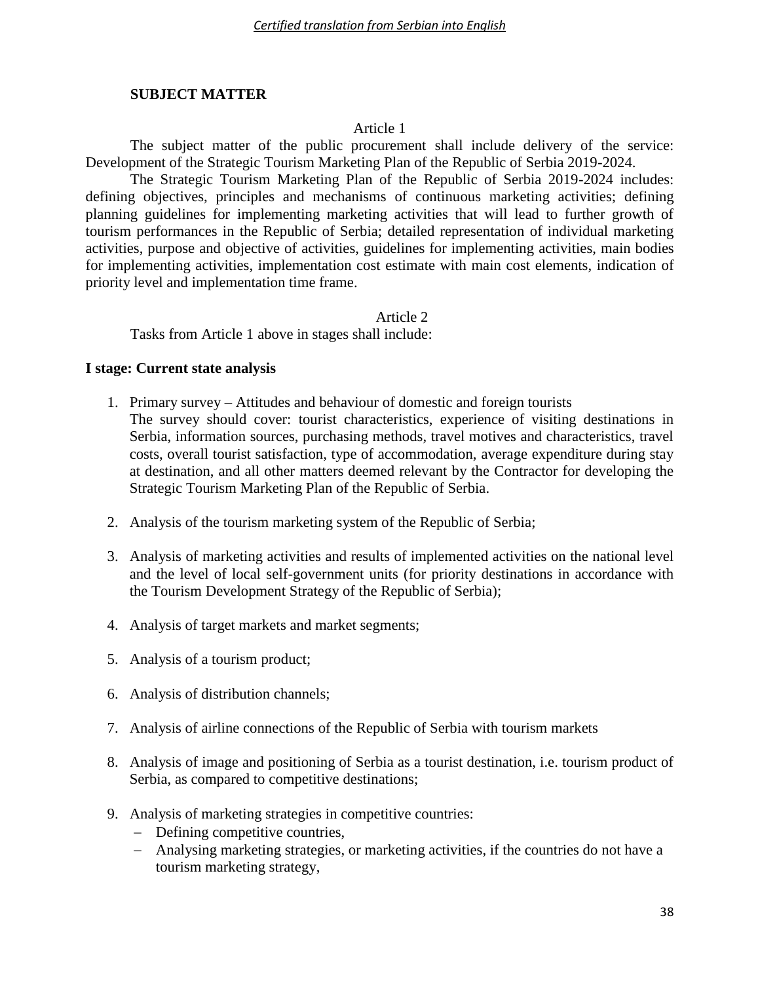### **SUBJECT MATTER**

#### Article 1

The subject matter of the public procurement shall include delivery of the service: Development of the Strategic Tourism Marketing Plan of the Republic of Serbia 2019-2024.

The Strategic Tourism Marketing Plan of the Republic of Serbia 2019-2024 includes: defining objectives, principles and mechanisms of continuous marketing activities; defining planning guidelines for implementing marketing activities that will lead to further growth of tourism performances in the Republic of Serbia; detailed representation of individual marketing activities, purpose and objective of activities, guidelines for implementing activities, main bodies for implementing activities, implementation cost estimate with main cost elements, indication of priority level and implementation time frame.

Article 2

Tasks from Article 1 above in stages shall include:

### **I stage: Current state analysis**

- 1. Primary survey Attitudes and behaviour of domestic and foreign tourists The survey should cover: tourist characteristics, experience of visiting destinations in Serbia, information sources, purchasing methods, travel motives and characteristics, travel costs, overall tourist satisfaction, type of accommodation, average expenditure during stay at destination, and all other matters deemed relevant by the Contractor for developing the Strategic Tourism Marketing Plan of the Republic of Serbia.
- 2. Analysis of the tourism marketing system of the Republic of Serbia;
- 3. Analysis of marketing activities and results of implemented activities on the national level and the level of local self-government units (for priority destinations in accordance with the Tourism Development Strategy of the Republic of Serbia);
- 4. Analysis of target markets and market segments;
- 5. Analysis of a tourism product;
- 6. Analysis of distribution channels;
- 7. Analysis of airline connections of the Republic of Serbia with tourism markets
- 8. Analysis of image and positioning of Serbia as a tourist destination, i.e. tourism product of Serbia, as compared to competitive destinations;
- 9. Analysis of marketing strategies in competitive countries:
	- Defining competitive countries,
	- Analysing marketing strategies, or marketing activities, if the countries do not have a tourism marketing strategy,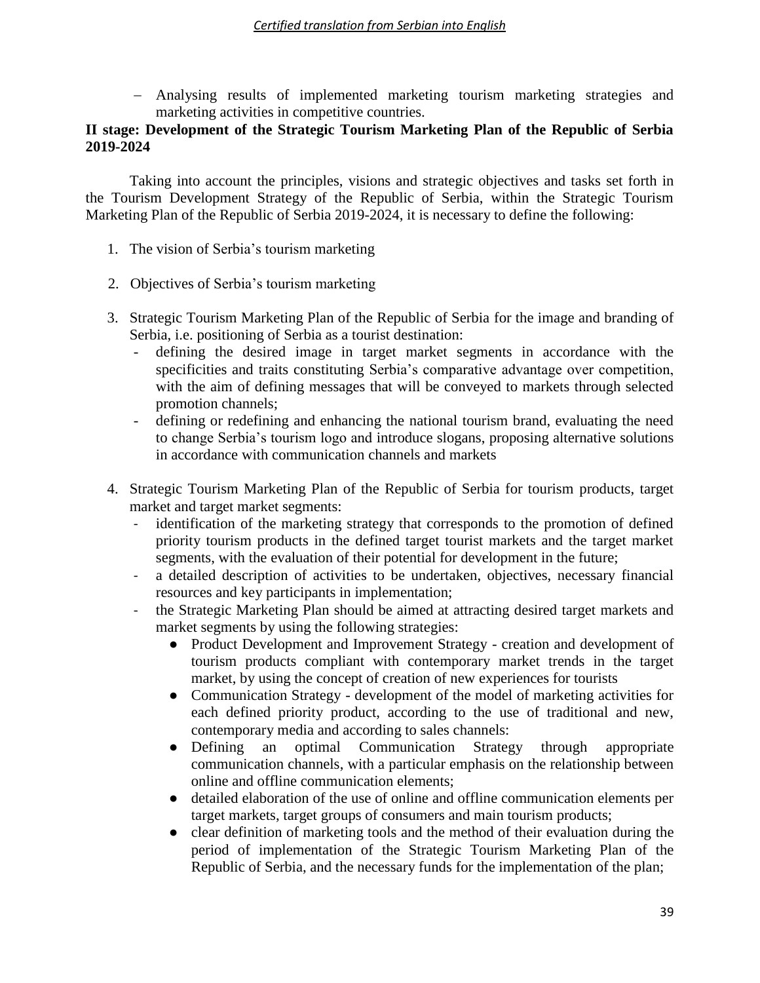Analysing results of implemented marketing tourism marketing strategies and marketing activities in competitive countries.

# **II stage: Development of the Strategic Tourism Marketing Plan of the Republic of Serbia 2019-2024**

Taking into account the principles, visions and strategic objectives and tasks set forth in the Tourism Development Strategy of the Republic of Serbia, within the Strategic Tourism Marketing Plan of the Republic of Serbia 2019-2024, it is necessary to define the following:

- 1. The vision of Serbia's tourism marketing
- 2. Objectives of Serbia's tourism marketing
- 3. Strategic Tourism Marketing Plan of the Republic of Serbia for the image and branding of Serbia, i.e. positioning of Serbia as a tourist destination:
	- defining the desired image in target market segments in accordance with the specificities and traits constituting Serbia's comparative advantage over competition, with the aim of defining messages that will be conveyed to markets through selected promotion channels;
	- defining or redefining and enhancing the national tourism brand, evaluating the need to change Serbia's tourism logo and introduce slogans, proposing alternative solutions in accordance with communication channels and markets
- 4. Strategic Tourism Marketing Plan of the Republic of Serbia for tourism products, target market and target market segments:
	- identification of the marketing strategy that corresponds to the promotion of defined priority tourism products in the defined target tourist markets and the target market segments, with the evaluation of their potential for development in the future;
	- a detailed description of activities to be undertaken, objectives, necessary financial resources and key participants in implementation;
	- the Strategic Marketing Plan should be aimed at attracting desired target markets and market segments by using the following strategies:
		- Product Development and Improvement Strategy creation and development of tourism products compliant with contemporary market trends in the target market, by using the concept of creation of new experiences for tourists
		- Communication Strategy development of the model of marketing activities for each defined priority product, according to the use of traditional and new, contemporary media and according to sales channels:
		- Defining an optimal Communication Strategy through appropriate communication channels, with a particular emphasis on the relationship between online and offline communication elements;
		- detailed elaboration of the use of online and offline communication elements per target markets, target groups of consumers and main tourism products;
		- clear definition of marketing tools and the method of their evaluation during the period of implementation of the Strategic Tourism Marketing Plan of the Republic of Serbia, and the necessary funds for the implementation of the plan;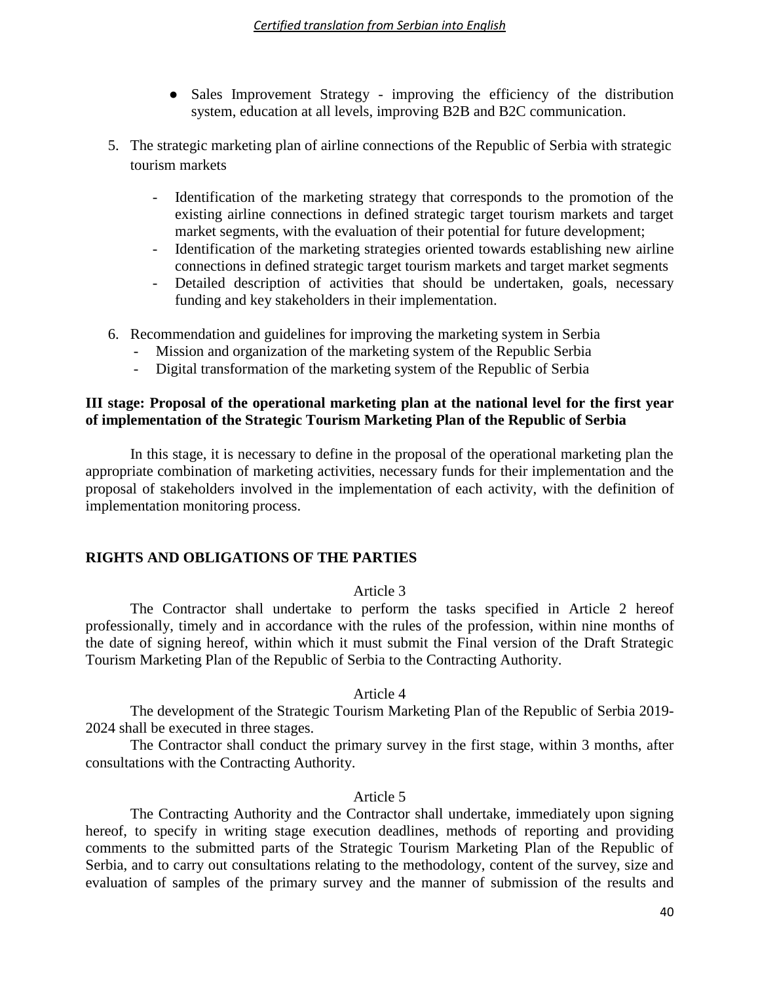- Sales Improvement Strategy improving the efficiency of the distribution system, education at all levels, improving B2B and B2C communication.
- 5. The strategic marketing plan of airline connections of the Republic of Serbia with strategic tourism markets
	- Identification of the marketing strategy that corresponds to the promotion of the existing airline connections in defined strategic target tourism markets and target market segments, with the evaluation of their potential for future development;
	- Identification of the marketing strategies oriented towards establishing new airline connections in defined strategic target tourism markets and target market segments
	- Detailed description of activities that should be undertaken, goals, necessary funding and key stakeholders in their implementation.
- 6. Recommendation and guidelines for improving the marketing system in Serbia
	- Mission and organization of the marketing system of the Republic Serbia
	- Digital transformation of the marketing system of the Republic of Serbia

# **III stage: Proposal of the operational marketing plan at the national level for the first year of implementation of the Strategic Tourism Marketing Plan of the Republic of Serbia**

In this stage, it is necessary to define in the proposal of the operational marketing plan the appropriate combination of marketing activities, necessary funds for their implementation and the proposal of stakeholders involved in the implementation of each activity, with the definition of implementation monitoring process.

### **RIGHTS AND OBLIGATIONS OF THE PARTIES**

### Article 3

The Contractor shall undertake to perform the tasks specified in Article 2 hereof professionally, timely and in accordance with the rules of the profession, within nine months of the date of signing hereof, within which it must submit the Final version of the Draft Strategic Tourism Marketing Plan of the Republic of Serbia to the Contracting Authority.

### Article 4

The development of the Strategic Tourism Marketing Plan of the Republic of Serbia 2019- 2024 shall be executed in three stages.

The Contractor shall conduct the primary survey in the first stage, within 3 months, after consultations with the Contracting Authority.

### Article 5

The Contracting Authority and the Contractor shall undertake, immediately upon signing hereof, to specify in writing stage execution deadlines, methods of reporting and providing comments to the submitted parts of the Strategic Tourism Marketing Plan of the Republic of Serbia, and to carry out consultations relating to the methodology, content of the survey, size and evaluation of samples of the primary survey and the manner of submission of the results and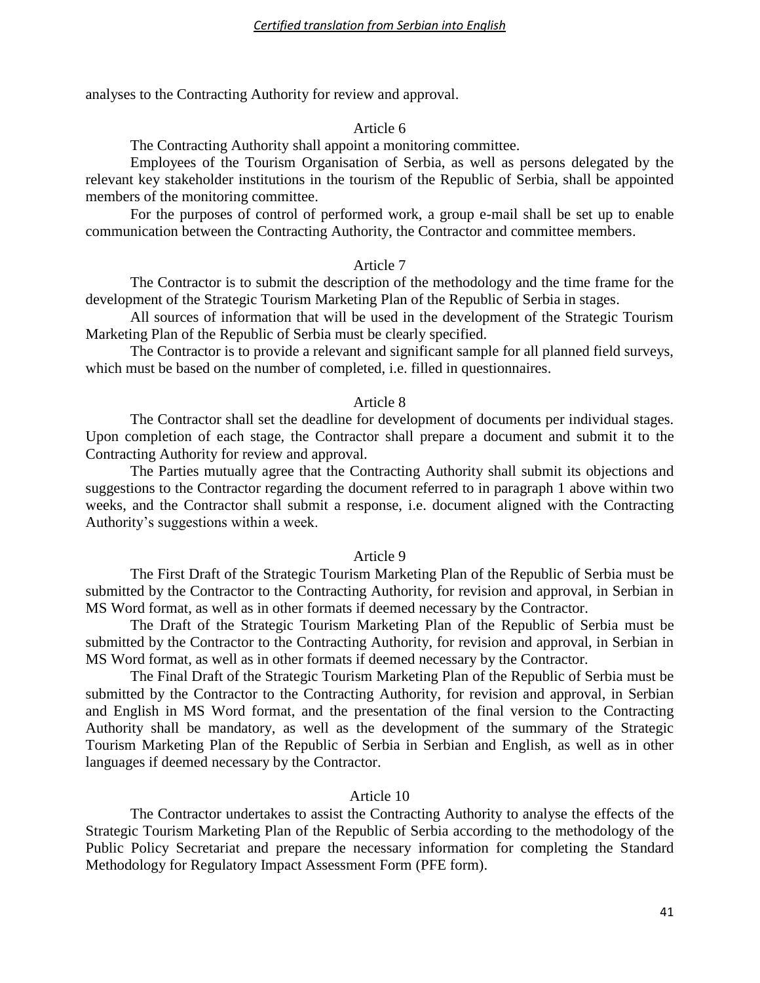analyses to the Contracting Authority for review and approval.

#### Article 6

The Contracting Authority shall appoint a monitoring committee.

Employees of the Tourism Organisation of Serbia, as well as persons delegated by the relevant key stakeholder institutions in the tourism of the Republic of Serbia, shall be appointed members of the monitoring committee.

For the purposes of control of performed work, a group e-mail shall be set up to enable communication between the Contracting Authority, the Contractor and committee members.

#### Article 7

The Contractor is to submit the description of the methodology and the time frame for the development of the Strategic Tourism Marketing Plan of the Republic of Serbia in stages.

All sources of information that will be used in the development of the Strategic Tourism Marketing Plan of the Republic of Serbia must be clearly specified.

The Contractor is to provide a relevant and significant sample for all planned field surveys, which must be based on the number of completed, i.e. filled in questionnaires.

#### Article 8

The Contractor shall set the deadline for development of documents per individual stages. Upon completion of each stage, the Contractor shall prepare a document and submit it to the Contracting Authority for review and approval.

The Parties mutually agree that the Contracting Authority shall submit its objections and suggestions to the Contractor regarding the document referred to in paragraph 1 above within two weeks, and the Contractor shall submit a response, i.e. document aligned with the Contracting Authority's suggestions within a week.

#### Article 9

The First Draft of the Strategic Tourism Marketing Plan of the Republic of Serbia must be submitted by the Contractor to the Contracting Authority, for revision and approval, in Serbian in MS Word format, as well as in other formats if deemed necessary by the Contractor.

The Draft of the Strategic Tourism Marketing Plan of the Republic of Serbia must be submitted by the Contractor to the Contracting Authority, for revision and approval, in Serbian in MS Word format, as well as in other formats if deemed necessary by the Contractor.

The Final Draft of the Strategic Tourism Marketing Plan of the Republic of Serbia must be submitted by the Contractor to the Contracting Authority, for revision and approval, in Serbian and English in MS Word format, and the presentation of the final version to the Contracting Authority shall be mandatory, as well as the development of the summary of the Strategic Tourism Marketing Plan of the Republic of Serbia in Serbian and English, as well as in other languages if deemed necessary by the Contractor.

#### Article 10

The Contractor undertakes to assist the Contracting Authority to analyse the effects of the Strategic Tourism Marketing Plan of the Republic of Serbia according to the methodology of the Public Policy Secretariat and prepare the necessary information for completing the Standard Methodology for Regulatory Impact Assessment Form (PFE form).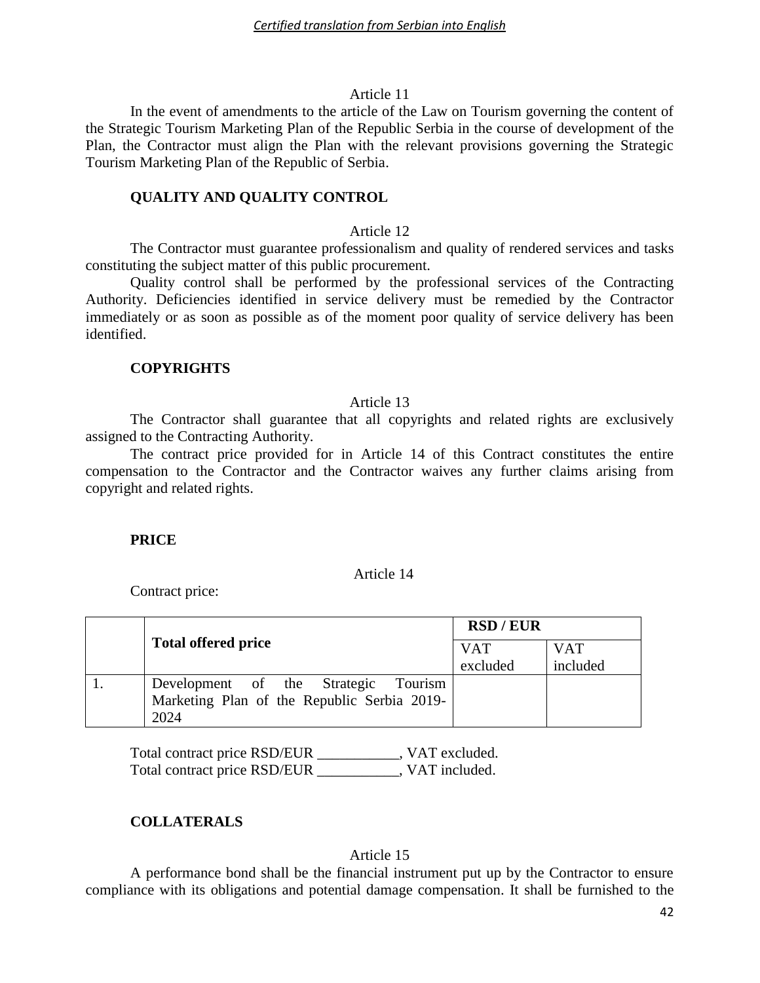#### Article 11

In the event of amendments to the article of the Law on Tourism governing the content of the Strategic Tourism Marketing Plan of the Republic Serbia in the course of development of the Plan, the Contractor must align the Plan with the relevant provisions governing the Strategic Tourism Marketing Plan of the Republic of Serbia.

#### **QUALITY AND QUALITY CONTROL**

#### Article 12

The Contractor must guarantee professionalism and quality of rendered services and tasks constituting the subject matter of this public procurement.

Quality control shall be performed by the professional services of the Contracting Authority. Deficiencies identified in service delivery must be remedied by the Contractor immediately or as soon as possible as of the moment poor quality of service delivery has been identified.

# **COPYRIGHTS**

#### Article 13

The Contractor shall guarantee that all copyrights and related rights are exclusively assigned to the Contracting Authority.

The contract price provided for in Article 14 of this Contract constitutes the entire compensation to the Contractor and the Contractor waives any further claims arising from copyright and related rights.

#### **PRICE**

#### Article 14

Contract price:

|                                             | <b>RSD/EUR</b> |            |  |
|---------------------------------------------|----------------|------------|--|
| <b>Total offered price</b>                  |                | <b>VAT</b> |  |
|                                             | excluded       | included   |  |
| Tourism<br>Development of the Strategic     |                |            |  |
| Marketing Plan of the Republic Serbia 2019- |                |            |  |
| 2024                                        |                |            |  |

Total contract price RSD/EUR \_\_\_\_\_\_\_\_\_\_\_, VAT excluded. Total contract price RSD/EUR \_\_\_\_\_\_\_\_\_\_\_, VAT included.

# **COLLATERALS**

#### Article 15

A performance bond shall be the financial instrument put up by the Contractor to ensure compliance with its obligations and potential damage compensation. It shall be furnished to the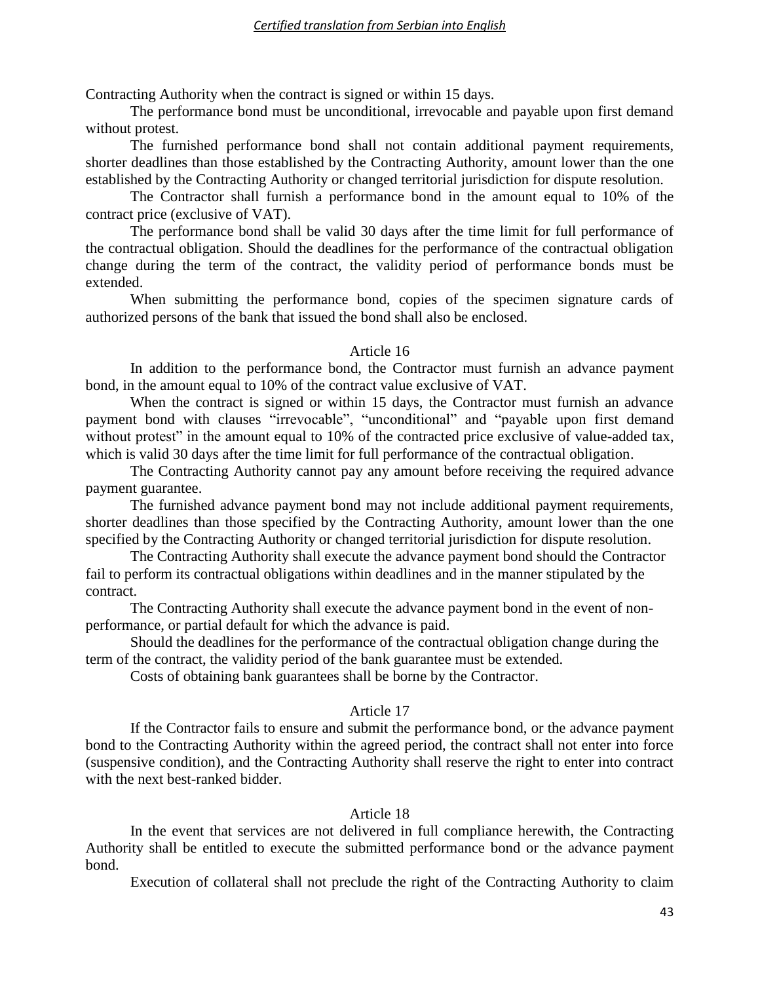Contracting Authority when the contract is signed or within 15 days.

The performance bond must be unconditional, irrevocable and payable upon first demand without protest.

The furnished performance bond shall not contain additional payment requirements, shorter deadlines than those established by the Contracting Authority, amount lower than the one established by the Contracting Authority or changed territorial jurisdiction for dispute resolution.

The Contractor shall furnish a performance bond in the amount equal to 10% of the contract price (exclusive of VAT).

The performance bond shall be valid 30 days after the time limit for full performance of the contractual obligation. Should the deadlines for the performance of the contractual obligation change during the term of the contract, the validity period of performance bonds must be extended.

When submitting the performance bond, copies of the specimen signature cards of authorized persons of the bank that issued the bond shall also be enclosed.

#### Article 16

In addition to the performance bond, the Contractor must furnish an advance payment bond, in the amount equal to 10% of the contract value exclusive of VAT.

When the contract is signed or within 15 days, the Contractor must furnish an advance payment bond with clauses "irrevocable", "unconditional" and "payable upon first demand without protest" in the amount equal to 10% of the contracted price exclusive of value-added tax, which is valid 30 days after the time limit for full performance of the contractual obligation.

The Contracting Authority cannot pay any amount before receiving the required advance payment guarantee.

The furnished advance payment bond may not include additional payment requirements, shorter deadlines than those specified by the Contracting Authority, amount lower than the one specified by the Contracting Authority or changed territorial jurisdiction for dispute resolution.

The Contracting Authority shall execute the advance payment bond should the Contractor fail to perform its contractual obligations within deadlines and in the manner stipulated by the contract.

The Contracting Authority shall execute the advance payment bond in the event of nonperformance, or partial default for which the advance is paid.

Should the deadlines for the performance of the contractual obligation change during the term of the contract, the validity period of the bank guarantee must be extended.

Costs of obtaining bank guarantees shall be borne by the Contractor.

### Article 17

If the Contractor fails to ensure and submit the performance bond, or the advance payment bond to the Contracting Authority within the agreed period, the contract shall not enter into force (suspensive condition), and the Contracting Authority shall reserve the right to enter into contract with the next best-ranked bidder.

### Article 18

In the event that services are not delivered in full compliance herewith, the Contracting Authority shall be entitled to execute the submitted performance bond or the advance payment bond.

Execution of collateral shall not preclude the right of the Contracting Authority to claim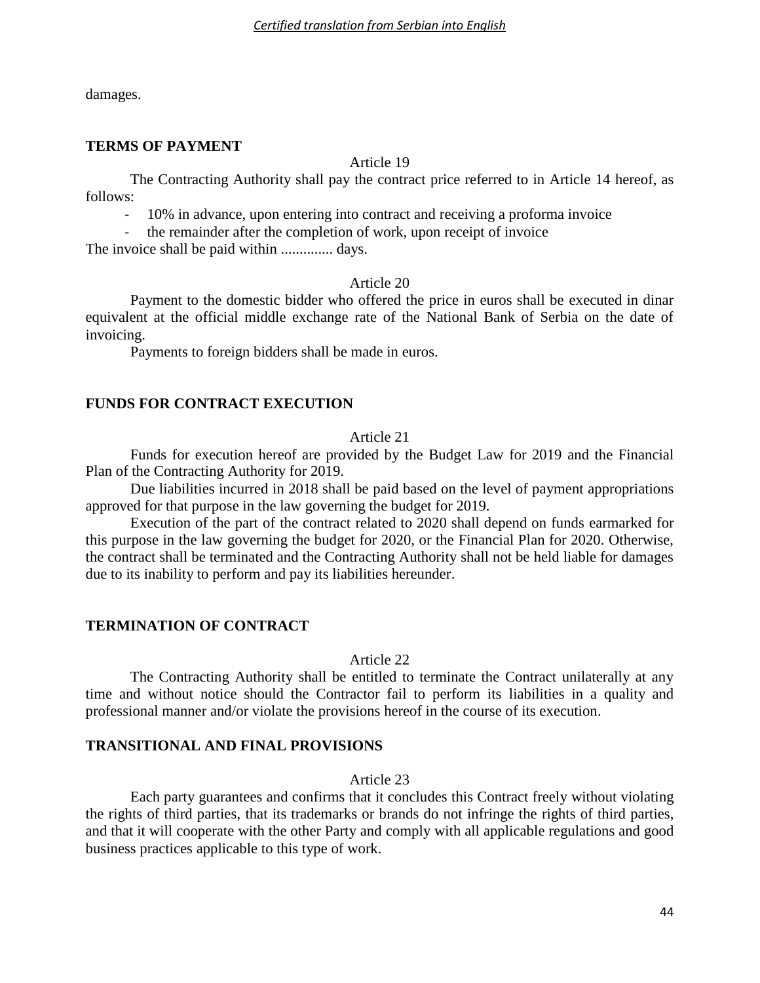damages.

#### **TERMS OF PAYMENT**

### Article 19

The Contracting Authority shall pay the contract price referred to in Article 14 hereof, as follows:

- 10% in advance, upon entering into contract and receiving a proforma invoice

- the remainder after the completion of work, upon receipt of invoice

The invoice shall be paid within .............. days.

#### Article 20

Payment to the domestic bidder who offered the price in euros shall be executed in dinar equivalent at the official middle exchange rate of the National Bank of Serbia on the date of invoicing.

Payments to foreign bidders shall be made in euros.

### **FUNDS FOR CONTRACT EXECUTION**

#### Article 21

Funds for execution hereof are provided by the Budget Law for 2019 and the Financial Plan of the Contracting Authority for 2019.

Due liabilities incurred in 2018 shall be paid based on the level of payment appropriations approved for that purpose in the law governing the budget for 2019.

Execution of the part of the contract related to 2020 shall depend on funds earmarked for this purpose in the law governing the budget for 2020, or the Financial Plan for 2020. Otherwise, the contract shall be terminated and the Contracting Authority shall not be held liable for damages due to its inability to perform and pay its liabilities hereunder.

### **TERMINATION OF CONTRACT**

#### Article 22

The Contracting Authority shall be entitled to terminate the Contract unilaterally at any time and without notice should the Contractor fail to perform its liabilities in a quality and professional manner and/or violate the provisions hereof in the course of its execution.

# **TRANSITIONAL AND FINAL PROVISIONS**

#### Article 23

Each party guarantees and confirms that it concludes this Contract freely without violating the rights of third parties, that its trademarks or brands do not infringe the rights of third parties, and that it will cooperate with the other Party and comply with all applicable regulations and good business practices applicable to this type of work.